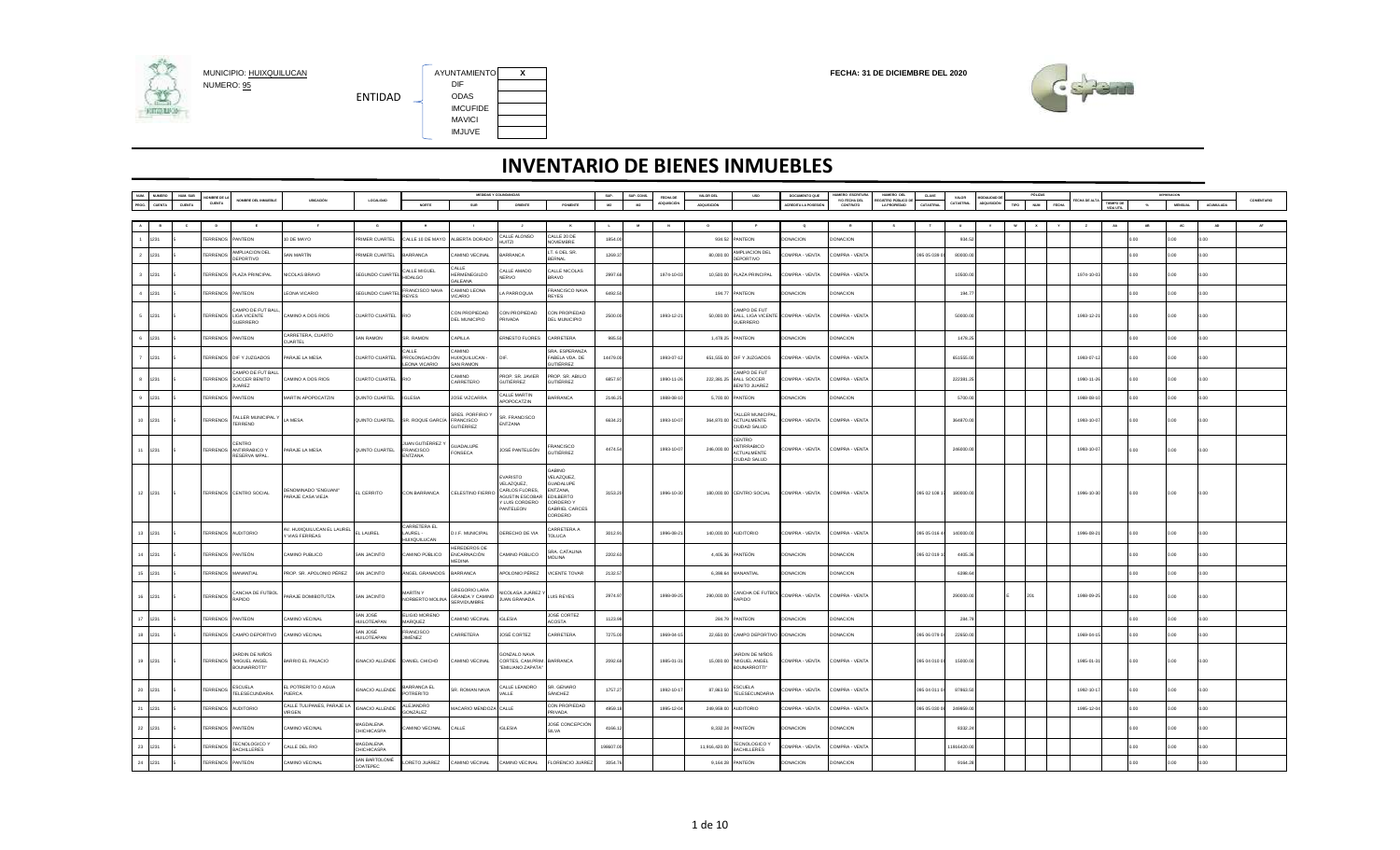

MUNICIPIO: <u>HUIXQUILUCAN</u><br>NUMERO: <u>95</u> DIF DIF DIF DIF DIR ENTIDAD IMCUFIDE MAVICI IMJUVE

AYUNTAMIENTO X<br>DIF



|                                 |        |                       |                                                            |                                             |                                       |                                           | MEDIDAS Y COLINDANCIAS                                        |                                                                                      |                                                                                                                       | SUP.     | SUP. CONS. | FECHA DE   | VALOR DEL    | <b>USO</b>                                                     | DOCUMENTO QUE              | <b>IUMERO ESCRITURA</b>   | NUMERO DEL                               | CLAVE        | VALOR      |  |     |            |    |       |                |           |            |
|---------------------------------|--------|-----------------------|------------------------------------------------------------|---------------------------------------------|---------------------------------------|-------------------------------------------|---------------------------------------------------------------|--------------------------------------------------------------------------------------|-----------------------------------------------------------------------------------------------------------------------|----------|------------|------------|--------------|----------------------------------------------------------------|----------------------------|---------------------------|------------------------------------------|--------------|------------|--|-----|------------|----|-------|----------------|-----------|------------|
|                                 | CUENTA | OMBRE DE L<br>CUENTA  | NOMBRE DEL INMUEBLE                                        | <b>UBICACIÓN</b>                            | LOCALIDAD                             | NORTE                                     | SUR                                                           | ORIENTE                                                                              | PONENTE                                                                                                               | M2       | M2         | poursició  | ADQUISICIÓN  |                                                                | <b>ACREDITA LA POSESIÓ</b> | Y/O FECHA DEL<br>CONTRATO | EGISTRO PÚBLICO D<br><b>LA PROPIEDAD</b> | CATASTRA     | CATASTRAL  |  | NUM |            |    |       | <b>MENSUAL</b> | ACUMULADA | COMENTARIO |
|                                 |        |                       |                                                            |                                             |                                       |                                           |                                                               |                                                                                      |                                                                                                                       |          |            |            |              |                                                                |                            |                           |                                          |              |            |  |     |            |    |       |                |           |            |
|                                 |        |                       |                                                            |                                             | $\circ$                               |                                           |                                                               |                                                                                      | $\mathbf{K}$                                                                                                          |          |            |            | $\Omega$     |                                                                | $\bullet$                  | R                         |                                          |              |            |  |     |            | AA |       | <b>AC</b>      | <b>AD</b> |            |
|                                 |        |                       |                                                            |                                             |                                       |                                           |                                                               | CALLE ALONSO                                                                         | CALLE 20 DE                                                                                                           |          |            |            |              |                                                                |                            |                           |                                          |              |            |  |     |            |    |       |                |           |            |
| 1231                            |        | ERRENOS               | PANTEON                                                    | 0 DE MAYO                                   | RIMER CUARTEL                         | ALLE 10 DE MAYO                           | ALBERTA DORADO                                                | <b>IUITZI</b>                                                                        | OVIEMBRE                                                                                                              | 1854.00  |            |            | 934.52       | PANTEON                                                        | ONACION                    | <b>ONACION</b>            |                                          |              | 934.52     |  |     |            |    | n nn  | no.            | n oo      |            |
| 2 1231                          |        | <b>ERRENOS</b>        | MPLIACION DEL                                              | SAN MARTÍN                                  | RIMER CUARTEL                         | ARRANCA                                   | <b>AMINO VECINAL</b>                                          | ARRANCA                                                                              | T. 6 DEL SR                                                                                                           | 1269.37  |            |            | 80,000.0     | MPLIACION DEL                                                  | OMPRA - VENTA              | OMPRA - VENTA             |                                          | 095 05 039   | 80000.00   |  |     |            |    | 0.00  | n nn           | 0.00      |            |
|                                 |        |                       | DEPORTIVO                                                  |                                             |                                       |                                           |                                                               |                                                                                      | ERNAL                                                                                                                 |          |            |            |              | DEPORTIVO                                                      |                            |                           |                                          |              |            |  |     |            |    |       |                |           |            |
| $\overline{\mathbf{3}}$<br>1231 |        | ERRENOS               | <b>PLAZA PRINCIPAL</b>                                     | NICOLAS BRAVO                               | SEGUNDO CUARTEL                       | ALLE MIGUEL<br><b>HIDALGO</b>             | ALLE<br><b>HERMENEGILDO</b><br><b>GALEANA</b>                 | ALLE AMADO<br><b>IERVO</b>                                                           | CALLE NICOLAS<br>RAVO                                                                                                 | 2997.6   |            | 1974-10-0  |              | 10,500.00 PLAZA PRINCIPAL                                      | OMPRA - VENTA              | COMPRA - VENT/            |                                          |              | 10500.0    |  |     | 1974-10-0  |    |       |                |           |            |
| $4 - 1231$                      |        | <b>ERRENOS</b>        | PANTEON                                                    | EONA VICARIO                                | <b>EGUNDO CUARTEL</b>                 | <b>FRANCISCO NAVA</b><br><b>REYES</b>     | CAMINO LEONA<br><b>UICARIO</b>                                | A PARROQUIA                                                                          | RANCISCO NAVA<br><b>REYES</b>                                                                                         | 6492.50  |            |            | 194.77       | PANTEON                                                        | ONACION                    | <b>ONACION</b>            |                                          |              | 194.77     |  |     |            |    |       |                |           |            |
| 5 1231                          |        | <b>TERRENOS</b>       | AMPO DE FUT BALL<br><b>LIGA VICENTE</b><br><b>GUERRERO</b> | CAMINO A DOS RIOS                           | CUARTO CUARTEL                        | <b>RIO</b>                                | CON PROPIEDAD<br><b>DEL MUNICIPIO</b>                         | CON PROPIEDAD<br><b>RIVADA</b>                                                       | CON PROPIEDAD<br><b>DEL MUNICIPIO</b>                                                                                 | 2500.00  |            | 1993-12-21 |              | AMPO DE FUT<br>50,000.00 BALL, LIGA VICENTE<br><b>GUERRERO</b> | COMPRA - VENTA             | COMPRA - VENTA            |                                          |              | 50000.0    |  |     | 1993-12-2  |    | 0.00  | 0.00           | 0.00      |            |
| 6 1231                          |        | ERRENOS               | PANTEON                                                    | CARRETERA, CUARTO<br>CUARTEL                | <b>SAN RAMON</b>                      | SR. RAMON                                 | APILLA                                                        | RNESTO FLORES                                                                        | CARRETERA                                                                                                             | 985.50   |            |            |              | 1,478.25 PANTEON                                               | ONACION                    | <b>ONACION</b>            |                                          |              | 1478.25    |  |     |            |    |       |                |           |            |
| $\overline{7}$<br>1231          |        | <b><i>ERRENOS</i></b> | DIF Y JUZGADOS                                             | PARAJE LA MESA                              | <b>CUARTO CUARTEL</b>                 | CALLE<br>PROLONGACIÓN<br>EONA VICARIO     | CAMINO<br>HUIXQUILUCAN-<br><b>SAN RAMON</b>                   |                                                                                      | RA. ESPERANZA<br>ABELA VDA, DE<br>UTIÊRREZ                                                                            | 14479.0  |            | 1993-07-1  |              | 651,555.00 DIF Y JUZGADOS                                      | COMPRA - VENTA             | COMPRA - VENTA            |                                          |              | 651555.0   |  |     | 1993-07-1  |    | 0.00  | 0.00           | 0.00      |            |
| 1231                            |        | ERRENOS               | CAMPO DE FUT BALL<br>SOCCER BENITO<br>UAREZ                | CAMINO A DOS RIOS                           | UARTO CUARTEL                         | RIO                                       | <b>OVIMA</b><br>CARRETERO                                     | PROP. SR. JAVIER<br>GUTIÊRREZ                                                        | ROP. SR. ABILIO<br><b>SUTIÊRREZ</b>                                                                                   | 6857.97  |            | 1990-11-2  | 222,381.2    | CAMPO DE FUT<br><b>BALL SOCCER</b><br>BENITO JUAREZ            | OMPRA - VENTA              | COMPRA - VENTA            |                                          |              | 222381.2   |  |     | 1990-11-2  |    |       |                |           |            |
| $9 - 1231$                      |        | <b>ERRENOS</b>        | PANTEON                                                    | MARTIN APOPOCATZIN                          | QUINTO CUARTEL                        | <b>IGLESIA</b>                            | JOSE VIZCARRA                                                 | CALLE MARTIN<br>POPOCATZIN                                                           | <b>BARRANCA</b>                                                                                                       | 2146.25  |            | 1988-08-1  | 5,700.00     | PANTEON                                                        | DONACION                   | <b>DONACION</b>           |                                          |              | 5700.0     |  |     | 1988-08-   |    | 0.001 | 3.00           |           |            |
| 10 1231                         |        | <b>TERRENOS</b>       | TALLER MUNICIPAL Y<br><b>TERRENO</b>                       | LA MESA                                     | QUINTO CUARTEL                        | SR. ROQUE GARCÍA                          | SRES, PORFIRIO<br>FRANCISCO<br><b>GUTIÉRREZ</b>               | SR. FRANCISCO<br>ENTZANA                                                             |                                                                                                                       | 6634.22  |            | 1993-10-0  | 364,870.00   | TALLER MUNICIPA<br>ACTUALMENTE<br>CIUDAD SALUD                 | COMPRA - VENTA             | COMPRA - VENTA            |                                          |              | 364870.00  |  |     | 1993-10-0  |    | 0.00  | 0.00           | 0.00      |            |
| 11 1231                         |        | <b>ERRENOS</b>        | <b>ENTRO</b><br><b>ANTIRRABICO Y</b><br>RESERVA MPAL.      | PARAJE LA MESA                              | QUINTO CUARTEL                        | UAN GUTIÊRREZ Y<br>FRANCISCO<br>ENTZANA   | <b>GUADALUPE</b><br>FONSECA                                   | JOSÉ PANTELEÓN                                                                       | RANCISCO<br>SUTIÊRREZ                                                                                                 | 4474.54  |            | 1993-10-0  | 246,000.0    | CENTRO<br>ANTIRRABICO<br><b>ACTUALMENTE</b><br>CIUDAD SALUD    | COMPRA - VENTA             | COMPRA - VENTA            |                                          |              | 246000.0   |  |     | 1993-10-0  |    | 0.00. | 0.001          | 0.00      |            |
| 12 1231                         |        | <b>TERRENOS</b>       | CENTRO SOCIAL                                              | DENOMINADO "ENGUANI"<br>PARAJE CASA VIEJA   | EL CERRITO                            | CON BARRANCA                              | CELESTINO FIERRO                                              | VARISTO<br>VELAZQUEZ,<br>ARLOS FLORES<br>AGUSTIN ESCORAL<br>LUIS CORDERO<br>ANTELEON | <b>ONIBAC</b><br>ELAZQUEZ,<br><b>SUADALUPE</b><br><b>ENTZANA</b><br>EDILBERTO<br>CORDEROY<br>ABRIEL CARCES<br>CORDERO | 3153.20  |            | 1996-10-30 |              | 180,000.00 CENTRO SOCIAL                                       | COMPRA - VENTA             | COMPRA - VENTA            |                                          | 095 02 108 1 | 180000.0   |  |     | 1996-10-30 |    | 0.00  |                |           |            |
| 13 1231                         |        | <b>ERRENOS</b>        | <b>AUDITORIO</b>                                           | V. HUIXQUILUCAN EL LAUREL<br>VIAS FERREAS   | L LAUREL                              | CARRETERA EL<br>LAUREL -<br>HUIXOUII UCAN | <b>D.I.F. MUNICIPAL</b>                                       | DERECHO DE VIA                                                                       | <b>ARRETERA A</b><br><b>OLUCA</b>                                                                                     | 3012.9   |            | 1996-08-2  |              | 140,000.00 AUDITORIO                                           | COMPRA - VENTA             | COMPRA - VENTA            |                                          | 095 05 016   | 140000.0   |  |     | 1996-08-2  |    | 0.00  | 3.00           | 0.00      |            |
| 14 1231                         |        | <b>ERRENOS</b>        | PANTEÓN                                                    | CAMINO PUBLICO                              | <b>SAN JACINTO</b>                    | <b>CAMINO PÚBLICO</b>                     | HEREDEROS DE<br>ENCARNACIÓN                                   | CAMINO PÚBLICO                                                                       | <b>RA. CATALINA</b><br><b>MOLINA</b>                                                                                  | 2202.63  |            |            | 4.405.36     | PANTEÓN                                                        | DONACION                   | DONACION                  |                                          | 095 02 019   | 4405.3     |  |     |            |    |       |                |           |            |
| 15 1231                         |        | ERRENOS               | <b>ANANTIAL</b>                                            | PROP. SR. APOLONIO PÉREZ                    | SAN JACINTO                           | INGEL GRANADOS                            | MEDINA<br><b>BARRANCA</b>                                     | APOLONIO PÉREZ                                                                       | VICENTE TOVAR                                                                                                         | 2132.57  |            |            | 6,398.64     | MANANTIAL                                                      | ONACION                    | <b>DONACION</b>           |                                          |              | 6398.6     |  |     |            |    |       |                |           |            |
| 16 1231                         |        | <b>TERRENOS</b>       | CANCHA DE FUTBOL<br>OCIRR                                  | PARAJE DOMIBOTUTZA                          | SAN JACINTO                           | <b>MARTÍN</b> Y<br>NORBERTO MOLINA        | <b>GREGORIO LARA</b><br><b>GRANDA Y CAMINO</b><br>SERVIDUMBRE | <b>IICOLASA JUÁREZ</b><br><b>JUAN GRANADA</b>                                        | LUIS REYES                                                                                                            | 2974.97  |            | 1998-09-25 | 290,000.00   | CANCHA DE FUTBOL<br>OCIPIES                                    | COMPRA - VENTA             | COMPRA - VENTA            |                                          |              | 290000.0   |  |     | 1998-09-2  |    | n nn  | n nn           |           |            |
| 17 1231                         |        | ERRENOS               | ANTEON                                                     | MINO VECINAL                                | SAN JOSÉ<br><b>HUILOTEAPAN</b>        | ELIGIO MORENO<br>MARQUEZ                  | AMINO VECINAL                                                 | <b>GLESIA</b>                                                                        | OSÉ CORTEZ<br><b>ACOSTA</b>                                                                                           | 1123.98  |            |            | 284.7        | PANTEON                                                        | ONACION                    | <b>ONACION</b>            |                                          |              | 284.79     |  |     |            |    |       |                |           |            |
| 18 1231                         |        | FERRENOS              | CAMPO DEPORTIVO                                            | CAMINO VECINAL                              | SAN JOSÉ<br><b>IUILOTEAPAN</b>        | FRANCISCO<br>JIMÊNEZ                      | CARRETERA                                                     | JOSÉ CORTEZ                                                                          | CARRETERA                                                                                                             | 7275.00  |            | 1969-04-1  | 22,650.00    | CAMPO DEPORTIVO                                                | <b>DONACION</b>            | CONACION                  |                                          | 195.06.079   | 22650.0    |  |     | 1969-04-1  |    | 0.00  | 3.00           | n nn      |            |
| 19 1231                         |        | <b>ERRENOS</b>        | ARDIN DE NIÑOS<br>'MIGUEL ANGEL<br>BOUNARROTTI*            | BARRIO EL PALACIO                           | <b>GNACIO ALLENDE</b>                 | DANIEL CHICHO                             | AMINO VECINAL                                                 | <b>SONZALO NAVA</b><br>CORTES, CAM.PRIM. BARRANCA<br>EMILIANO ZAPATA*                |                                                                                                                       | 2092.68  |            | 1985-01-3  | 15,000.00    | ARDIN DE NIÑOS<br>*MIGUEL ANGEL<br>BOUNARROTTI*                | COMPRA - VENTA             | COMPRA - VENTA            |                                          | 095 04 010 0 | 15000.0    |  |     | 1985-01-3  |    | 0.00  | 0.00.          | 0.00      |            |
| 20 1231                         |        | <b>ERRENOS</b>        | ESCUELA<br><b>TELESECUNDARIA</b>                           | L POTRERITO O AGUA<br>PUERCA                | <b>GNACIO ALLENDE</b>                 | ARRANCA EL<br><b>OTRERITO</b>             | R ROMAN NAVA                                                  | CALLE LEANDRO<br>ALLE                                                                | SR. GENARO<br><b>ÁNCHEZ</b>                                                                                           | 1757.27  |            | 1992-10-1  | 87,863.5     | <b>ESCUELA</b><br><b>TELESECUNDARIA</b>                        | COMPRA - VENTA             | COMPRA - VENTA            |                                          | 095 04 011   | 87863.5    |  |     | 1992-10-   |    | n nn  | 0.00           | 0.00      |            |
| 21<br>1231                      |        | ERRENOS               | <b>QIAOTIQUA</b>                                           | CALLE TULIPANES, PARAJE LA<br><b>/IRGEN</b> | GNACIO ALLENDE                        | ALEJANDRO<br>GONZÁLEZ                     | ACARIO MENDOZA CALLE                                          |                                                                                      | ON PROPIEDAD<br>ACAVIS                                                                                                | 4959.18  |            | 1995-12-0  | 249,959.00   | <b>AUDITORIO</b>                                               | OMPRA - VENTA              | COMPRA - VENTA            |                                          | 095 05 030 0 | 249959.00  |  |     | 1995-12-0  |    |       |                |           |            |
| 22 1231                         |        | ERRENOS               | ANTEÓN                                                     | AMINO VECINAL                               | AGDALENA<br>CHICHICASPA               | AMINO VECINAL                             | ALLE                                                          | <b>GLESIA</b>                                                                        | JOSÉ CONCEPCIÓN<br>SILVA                                                                                              | 4166.12  |            |            | 8,332.24     | PANTEÓN                                                        | ONACION                    | ONACION                   |                                          |              | 8332.2     |  |     |            |    |       |                |           |            |
| 23 1231                         |        | ERRENOS               | <b>TECNOLOGICO Y</b><br><b>BACHILLERES</b>                 | CALLE DEL RIO                               | <b>IAGDALENA</b><br><b>HICHICASPA</b> |                                           |                                                               |                                                                                      |                                                                                                                       | 198607.0 |            |            | 11,916,420.0 | TECNOLOGICO <sup>®</sup><br>BACHILLERES                        | OMPRA - VENTA              | COMPRA - VENT             |                                          |              | 11916420.0 |  |     |            |    |       |                |           |            |
| $\bf{^{24}}$<br>1231            |        | ERRENOS               | PANTEÓN                                                    | <b>CAMINO VECINAL</b>                       | AN BARTOLOMÉ<br>COATEPEC              | LORETO JUÁREZ                             | CAMINO VECINAL                                                | AMINO VECINAL                                                                        | FLORENCIO JUÁREZ                                                                                                      | 3054.7   |            |            | 9,164.28     | PANTEÓN                                                        | ONACION                    | <b>ONACION</b>            |                                          |              | 9164.2     |  |     |            |    |       |                |           |            |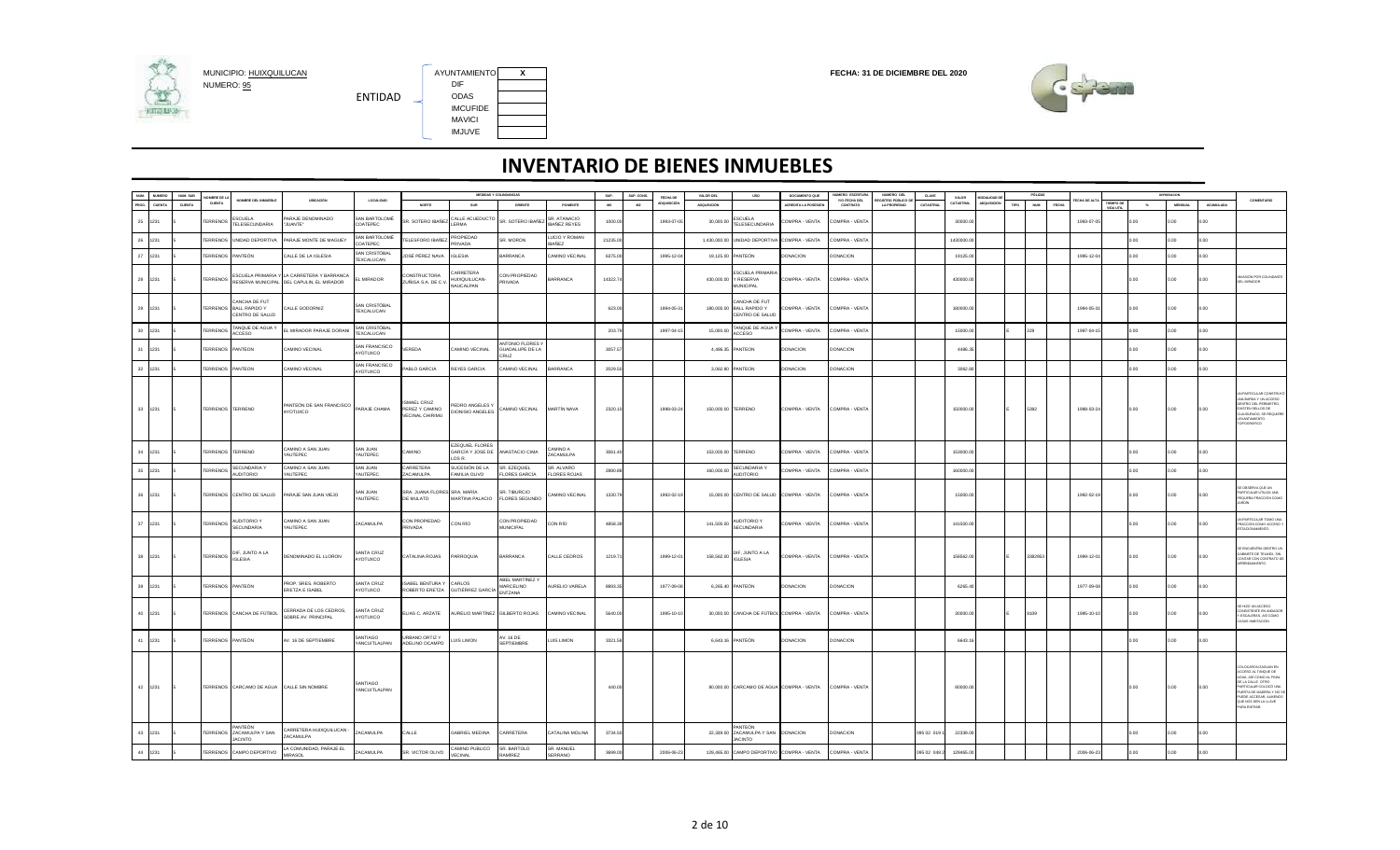

AYUNTAMIENTO X<br>DIF IMCUFIDE MAVICI IMJUVE



| NUM. | <b>NUMERO</b> | NUM. SUB | OMBRE DE LA            |                                                            |                                                                                                  |                                    |                                                | MEDIDAS Y COLINDANCIAS                                           |                                                |                                     | SUP.     | SUP. CONS. | FECHA DE   | VALOR DEL          | <b>USO</b>                                                     | DOCUMENTO QUE                                           | NUMERO ESCRITURA                 | NUMERO DEL                               | <b>CLAVE</b> | VALOR     | MODALIDAD DE |      | PÓLIZAS                    |            |         |           | DEPRESACION    |                  |                                                                                                                                                                                                                      |
|------|---------------|----------|------------------------|------------------------------------------------------------|--------------------------------------------------------------------------------------------------|------------------------------------|------------------------------------------------|------------------------------------------------------------------|------------------------------------------------|-------------------------------------|----------|------------|------------|--------------------|----------------------------------------------------------------|---------------------------------------------------------|----------------------------------|------------------------------------------|--------------|-----------|--------------|------|----------------------------|------------|---------|-----------|----------------|------------------|----------------------------------------------------------------------------------------------------------------------------------------------------------------------------------------------------------------------|
| PROG | <b>CUENTA</b> | CUENTA   | CUENTA                 | NOMBRE DEL INMUEBLE                                        | UBICACIÓN                                                                                        | <b>LOCALIDAD</b>                   | NORTE                                          | SUR                                                              | ORIENTE                                        | PONENTE                             | M2       | M2         | QUISICIÓ   | ADQUISICIÓN        |                                                                | ACREDITA LA POSESIÓN                                    | <b>Y/O FECHA DEL</b><br>CONTRATO | FOISTRO PÚBLICO E<br><b>LA PROPIEDAD</b> | CATASTRAL    | CATASTRAL | LOQUISICIÓN  | TIPO | <b>NUM</b><br><b>FECHA</b> | CHA DE AL  | ПЕМРО С | $^{16}$   | <b>MENSUAL</b> | <b>ACUMULADA</b> | <b>COMENTARIO</b>                                                                                                                                                                                                    |
| 25   | 1231          |          | <b>TERRENOS</b>        | ESCUELA<br><b>TELESECUNDARIA</b>                           | PARAJE DENOMINADO<br>"JUANTE"                                                                    | AN BARTOLOMÉ<br>COATEPEC           | <b>SR. SOTERO IBAÑEZ</b>                       | CALLE ACUEDUCTO<br>LERMA                                         | SR. SOTERO IBAÑEZ                              | SR. ATANACIO<br><b>IBANEZ REYES</b> | 1000.00  |            | 1993-07-0  | 30,000.0           | SCUELA<br><b>TELESECUNDARIA</b>                                | OMPRA - VENTA                                           | COMPRA - VENTA                   |                                          |              | 30000.0   |              |      |                            | 1993-07-05 |         | $00 -$    | n nn           | n n              |                                                                                                                                                                                                                      |
| 26   | 1231          |          |                        | <b>TERRENOS UNIDAD DEPORTIVA</b>                           | PARAJE MONTE DE MAGUEY                                                                           | <b>SAN BARTOLOMÉ</b><br>OATEPEC    | ELESFORO IBAÑEZ                                | <b>ROPIEDAD</b><br><b>PRIVADA</b>                                | SR MORON                                       | LUCIO Y ROMAN<br><b>IBAÑEZ</b>      | 21235.00 |            |            | 1.430.000.00       | UNIDAD DEPORTIVA COMPRA - VENTA                                |                                                         | COMPRA - VENTA                   |                                          |              | 1430000.0 |              |      |                            |            |         | 0.00      | n nn           | n nn             |                                                                                                                                                                                                                      |
| 27   | 1231          |          | <b><i>TERRENOS</i></b> | PANTEÓN                                                    | CALLE DE LA IGLESIA                                                                              | AN CRISTÓBAL<br><b>TFXCALLICAN</b> | IOSÉ PÉREZ NAVA                                | <b>GLESIA</b>                                                    | BARRANCA                                       | AMINO VECINAL                       | 6375.00  |            | 1995-12-0  | 19,125.00          | PANTEÓN                                                        | <b>ONACION</b>                                          | DONACION                         |                                          |              | 19125.0   |              |      |                            | 1995-12-0  |         | .00       | 0.00           | $00^{1}$         |                                                                                                                                                                                                                      |
| 28   | 1231          |          |                        |                                                            | ESCUELA PRIMARIA Y LA CARRETERA Y BARRANCA<br>TERRENOS RESERVA MUNICIPAL DEL CAPULIN, EL MIRADOR | L MIRADOR                          | CONSTRUCTORA<br>ZUÑIGA S.A. DE C.V.            | <b>ARRETERA</b><br>HUIXQUILUCAN-<br>NAUCALPAN                    | CON PROPIEDAD<br>PRIVADA                       | <b>BARRANCA</b>                     | 14322.74 |            |            | 430,000.00         | <b>ESCUELA PRIMARIA</b><br>Y RESERVA<br><b>MUNICIPAL</b>       | COMPRA - VENTA                                          | COMPRA - VENTA                   |                                          |              | 430000.0  |              |      |                            |            |         | 0.00      | 00.0           | 0.00             | <b>MASIÓN POR COLINDANTI</b><br>DEL MIRADOR                                                                                                                                                                          |
|      | 29 1231       |          |                        | CANCHA DE FUT<br>TERRENOS BALL RAPIDO Y<br>CENTRO DE SALUD | CALLE GODORNIZ                                                                                   | SAN CRISTÓBAL<br>TEXCALUCAN        |                                                |                                                                  |                                                |                                     | 623.00   |            | 1994-05-31 | 180,000.00         | CANCHA DE FUT<br><b>BALL RAPIDO Y</b><br>CENTRO DE SALUD       | COMPRA - VENTA                                          | COMPRA - VENTA                   |                                          |              | 180000.0  |              |      |                            | 1994-05-31 |         | 0.00      | 0.00           | 0.00             |                                                                                                                                                                                                                      |
| 30   | 1231          |          | ERRENOS                | TANQUE DE AGUA Y<br><b>ACCESO</b>                          | EL MIRADOR PARAJE DORANI                                                                         | SAN CRISTÓBAI<br>FXCALLICAN        |                                                |                                                                  |                                                |                                     | 203.79   |            | 1997-04-1  | 15,000.00          | TANQUE DE AGUA '<br>ACCESO                                     | COMPRA - VENTA                                          | COMPRA - VENTA                   |                                          |              | 15000.0   |              |      | 229                        | 1997-04-1  |         | 0.00      | 0.00           | 0.00             |                                                                                                                                                                                                                      |
| 31   | 1231          |          |                        | <b>TERRENOS PANTEON</b>                                    | CAMINO VECINAL                                                                                   | AN FRANCISCO<br>AYOTUXCO           | <b>FREDA</b>                                   | <b>CAMINO VECINAL</b>                                            | ANTONIO FLORES<br>GUADALUPE DE LA<br>RUZ       |                                     | 3057.5   |            |            |                    | 4.486.35 PANTEON                                               | DONACION                                                | <b>DONACION</b>                  |                                          |              | 4486.3    |              |      |                            |            |         | n nn      | n G            | 0.00             |                                                                                                                                                                                                                      |
| 32   | 1231          |          |                        | <b>TERRENOS PANTEON</b>                                    | CAMINO VECINAL                                                                                   | SAN FRANCISCO<br>YOTUXCO           | ABLO GARCIA                                    | <b>REYES GARCIA</b>                                              | CAMINO VECINAL                                 | <b>BARRANCA</b>                     | 2029.50  |            |            |                    | 3,062.80 PANTEON                                               | DONACION                                                | <b>DONACION</b>                  |                                          |              | 3062.80   |              |      |                            |            |         | n nn      | n nn           | n on             |                                                                                                                                                                                                                      |
|      | 33 1231       |          |                        | TERRENOS TERRENO                                           | PANTEÓN DE SAN FRANCISCO<br><b>OOXITOYA</b>                                                      | PARAJE CHAMA                       | MAFI CRUZ<br>PEREZ Y CAMINO<br>VECINAL CHIRIMU | <b>EDRO ANGELES Y</b><br>DIONISIO ANGELES                        | CAMINO VECINAL                                 | MARTÍN NAVA                         | 2320.10  |            | 1998-03-24 | 150,000.00 TERRENO |                                                                | COMPRA - VENTA                                          | COMPRA - VENTA                   |                                          |              | 150000.00 |              |      | 5392                       | 1998-03-24 |         | 0.00      | 0.00           | 0.00             | N PARTICULAR CONSTRU<br>UNA BARDA Y UN ACCESO<br>DENTRO DEL PERIMETRO<br>VISTEN SELLOS DE<br>LAUSURADO, SE REQUIER<br>VANTAMIENTO<br>POGRÁFICO                                                                       |
| 34   | 1231          |          |                        | <b>TERRENOS TERRENO</b>                                    | CAMINO A SAN JUAN<br>AUTEPEC                                                                     | AN JUAN<br>AUTEPEC                 | <b>OVIIMA:</b>                                 | <b>EZEQUIEL FLORES</b><br>GARCÍA Y JOSE DE ANASTACIO CIMA<br>OSR |                                                | A OWIMA:<br>ACAMULPA                | 3061.4   |            |            | 153,000.00 TERRENO |                                                                | COMPRA - VENTA                                          | COMPRA - VENTA                   |                                          |              | 153000.0  |              |      |                            |            |         | 0.00.     | 00.0           | 0.00             |                                                                                                                                                                                                                      |
| 35   | 1231          |          | <b>TERRENOS</b>        | <b>SECUNDARIA Y</b><br>AUDITORIO                           | CAMINO A SAN JUAN<br>YAUTEPEC                                                                    | AN JUAN<br><b>AUTEPEC</b>          | ARRETERA<br>ZACAMULPA                          | SUCESIÓN DE LA<br>FAMILIA OLIVO                                  | SR. EZEQUIEL<br><b>FLORES GARCÍA</b>           | SR. ALVARO<br><b>FLORES ROJAS</b>   | 2880.88  |            |            | 160,000.0          | SECUNDARIA <sup>*</sup><br><b>AUDITORIO</b>                    | OMPRA - VENTA                                           | COMPRA - VENTA                   |                                          |              | 160000.0  |              |      |                            |            |         | <b>CO</b> | <b>CO</b>      | 00               |                                                                                                                                                                                                                      |
| 36   | 1231          |          |                        | TERRENOS CENTRO DE SALUD                                   | PARAJE SAN JUAN VIEJO                                                                            | SAN JUAN<br><b>AUTEPEC</b>         | SRA. JUANA FLORES SRA. MARÍA<br>DE MULATO      | MARTINA PALACIO                                                  | SR. TIBURCIO<br><b>FLORES SEGUNDO</b>          | CAMINO VECINAL                      | 1330.79  |            | 1992-02-19 |                    | 15,000.00 CENTRO DE SALUD COMPRA - VENTA                       |                                                         | COMPRA - VENTA                   |                                          |              | 15000.0   |              |      |                            | 1992-02-1  |         | 0.00      | 0.00           | 0.00             | OBSERVA QUE UN<br>ARTICULAR UTILIZA UNA<br>PEQUEÑA FRACCIÓN COMO                                                                                                                                                     |
| 37   | 1231          |          | <b>TERRENOS</b>        | AUDITORIO Y<br>SECUNDARIA                                  | CAMINO A SAN JUAN<br>YAUTEPEC                                                                    | ZACAMULPA                          | CON PROPIEDAD<br><b>RIVADA</b>                 | CON RÍO                                                          | CON PROPIEDAD<br>MUNICIPAL                     | CON RÍO                             | 4858.39  |            |            | 141,500.00         | <b>AUDITORIO Y</b><br><b>SECUNDARIA</b>                        | COMPRA - VENTA                                          | COMPRA - VENTA                   |                                          |              | 141500.0  |              |      |                            |            |         | .00       | 00             | .00              | UN PARTICULAR TOMO UN<br>RACCIÓN COMO ACCESO "<br>STACIONAMIENTO.                                                                                                                                                    |
|      | 38 1231       |          |                        | TERRENOS DIF, JUNTO A LA                                   | DENOMINADO EL LLORON                                                                             | SANTA CRUZ<br>AYOTUXCO             | CATALINA ROJAS                                 | PARROQUIA                                                        | <b>BARRANCA</b>                                | CALLE CEDROS                        | 1219.71  |            | 1999-12-01 |                    | 158,562.00 DIF, JUNTO A LA<br>IGI ESIA                         | COMPRA - VENTA                                          | COMPRA - VENTA                   |                                          |              | 158562.00 |              |      | 3382953                    | 1999-12-01 |         | 0.00      | 0.00           | 0.00             | E ENCUENTRA DENTRO U<br>GABINETE DE TELMEX, SIN<br>CONTAR CON CONTRATO DE<br>RENDAMIENTO                                                                                                                             |
| 39   | 1231          |          |                        | TERRENOS PANTEÓN                                           | PROP. SRES. ROBERTO<br>ERETZA E ISABEL                                                           | SANTA CRUZ<br>AYOTUXCO             | SABEL BENTURA Y<br>ROBERTO ERETZA              | CARLOS<br><b>GUTIÉRREZ GARCÍA</b>                                | ABEL MARTINEZ Y<br><b>MARCELINO</b><br>ENTZANA | AURELIO VARELA                      | 8893.3   |            | 1977-09-08 |                    | 6.265.40 PANTEÓN                                               | <b>DONACION</b>                                         | <b>DONACION</b>                  |                                          |              | 6265.4    |              |      |                            | 1977-09-0  |         | n G       | n G            | 0.00             |                                                                                                                                                                                                                      |
|      | 40 1231       |          |                        | TERRENOS CANCHA DE FÚTBOL                                  | CERRADA DE LOS CEDROS.<br>SOBRE AV. PRINCIPAL                                                    | SANTA CRUZ<br>AYOTUXCO             | ELIAS C. ARZATE                                | AURELIO MARTÍNEZ GILBERTO ROJAS                                  |                                                | CAMINO VECINAL                      | 5640.00  |            | 1995-10-10 |                    | 30,000.00 CANCHA DE FÚTBOL COMPRA - VENTA                      |                                                         | COMPRA - VENTA                   |                                          |              | 30000.00  |              |      | 8109                       | 1995-10-10 |         | 0.00      | 0.00           | 0.00             | HIZO UN ACCESO<br>ONSISTENTE EN ANDADO<br>ESCALERAS, ASÍ COMO<br>ASAS HABITACIÓN                                                                                                                                     |
| 41   | 1231          |          |                        | TERRENOS PANTEÓN                                           | AV. 16 DE SEPTIEMBRE                                                                             | SANTIAGO<br>YANCUITLALPAN          | URBANO ORTIZ Y<br>ADELINO OCAMPO               | LUIS LIMON                                                       | AV. 16 DE<br><b>SEPTIEMBRE</b>                 | <b>LUIS LIMON</b>                   | 3321.58  |            |            |                    | 6,643.16 PANTEÓN                                               | DONACION                                                | DONACION                         |                                          |              | 6643.1    |              |      |                            |            |         | 0.00      | 0.00           | 0.00             |                                                                                                                                                                                                                      |
|      | 42 1231       |          |                        | TERRENOS CARCAMO DE AGUA CALLE SIN NOMBRE                  |                                                                                                  | SANTIAGO<br><b>YANCUITLALPAN</b>   |                                                |                                                                  |                                                |                                     | 440.00   |            |            |                    |                                                                | 80,000.00 CARCAMO DE AGUA COMPRA - VENTA COMPRA - VENTA |                                  |                                          |              | 80000.0   |              |      |                            |            |         | 0.00      | 0.00           | 0.00             | OLOCARON ZAGUAN EN<br>CCESO AL TANQUE DE<br><b>ILIA, ASÍ COMO AL FINAI</b><br>E LA CALLE OTRO<br>ARTICULAR COLOCÓ UN<br>LERTA DE MADERA Y NO S<br>PUEDE ACCESAR, ALMENO<br>QUE NOS DEN LA LLAVE<br><b>RA ENTRAR.</b> |
| 43   | 1231          |          |                        | ANTEÓN<br>TERRENOS ZACAMULPA Y SAN<br><b>JACINTO</b>       | CARRETERA HUIXQUILUCAN<br>ZACAMULPA                                                              | <b>ZACAMULPA</b>                   | CALLE                                          | <b>GABRIEL MEDINA</b>                                            | <b>ARRETERA</b>                                | CATALINA MOLINA                     | 3734.50  |            |            |                    | ANTEÓN<br>22,339.00 ZACAMULPA Y SAN DONACION<br><b>JACINTO</b> |                                                         | <b>DONACION</b>                  |                                          | 095 02 019 1 | 22339.0   |              |      |                            |            |         | n nn      | n nn           | 0.00             |                                                                                                                                                                                                                      |
|      | 44 1231       |          |                        | TERRENOS CAMPO DEPORTIVO                                   | LA COMUNIDAD, PARAJE EL<br><b>MIRASOL</b>                                                        | <b>ACAMULPA</b>                    | SR. VICTOR OLIVO                               | CAMINO PUBLICO<br>VECINAL                                        | SR. BARTOLO<br>RAMÍREZ                         | SR. MANUEL<br>SERRANO               | 3699.00  |            | 2006-06-23 |                    | 129,465.00 CAMPO DEPORTIVO COMPRA - VENTA                      |                                                         | COMPRA - VENTA                   |                                          | 095 02 048 2 | 129465.0  |              |      |                            | 2006-06-23 |         | 0.00      | 0.00           | 0.00             |                                                                                                                                                                                                                      |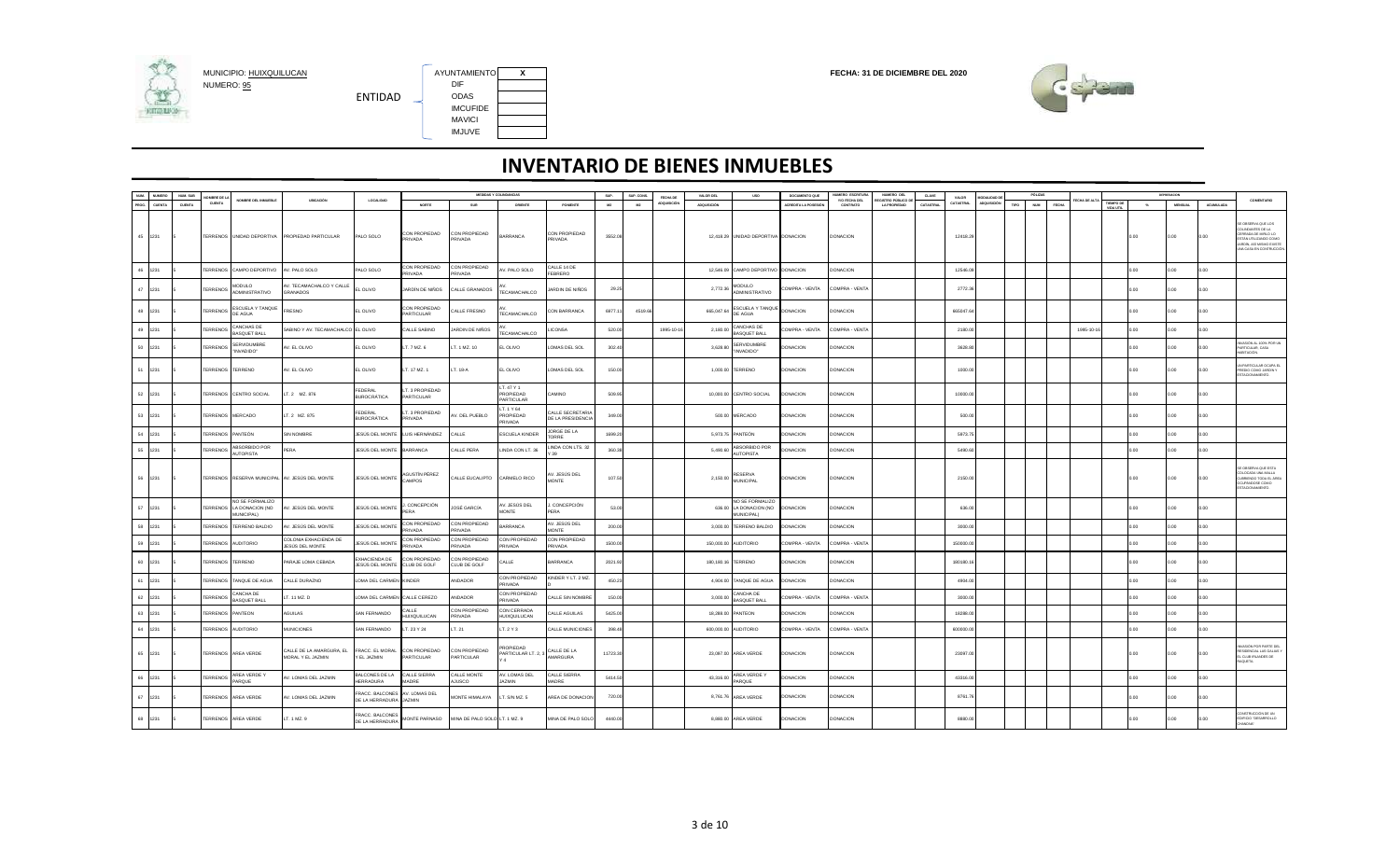

AYUNTAMIENTO X<br>DIF IMCUFIDE MAVICI IMJUVE



| NUM.  | NUMERO        | NUM, SUB | MRRF DE L              |                                                           |                                                |                                                        |                                 |                                | MEDIDAS Y COLINDANCIAS                  |                                       | sue.     | SUP, CONS | FECHA DE           | VALOR DEL          | <b>USO</b>                                                     | DOCUMENTO QUE        | NUMERO ESCRITURA          | NUMERO DEL                                | CLAVE     | VALOR            | MODAL DAD DE |      | PÓLIZAS                    |             |                        |               | DEPRESADON     |                  | <b>COMENTARIO</b>                                                                                                                                 |
|-------|---------------|----------|------------------------|-----------------------------------------------------------|------------------------------------------------|--------------------------------------------------------|---------------------------------|--------------------------------|-----------------------------------------|---------------------------------------|----------|-----------|--------------------|--------------------|----------------------------------------------------------------|----------------------|---------------------------|-------------------------------------------|-----------|------------------|--------------|------|----------------------------|-------------|------------------------|---------------|----------------|------------------|---------------------------------------------------------------------------------------------------------------------------------------------------|
| PROG. | <b>CUENTA</b> | CUENTA   | CUENTA                 | NOMBRE DEL INMUEBLE                                       | UBICACIÓN                                      | LOCALIDAD                                              | <b>NORTE</b>                    | SUR                            | ORIENTE                                 | PONENTE                               | M2       | M2        | <b>ADQUISICIÓN</b> | <b>ADQUISICIÓN</b> |                                                                | ACREDITA LA POSESIÓN | Y/O FECHA DEL<br>CONTRATO | EGISTRO PÚBLICO DE<br><b>LA PROPIEDAD</b> | CATASTRAL | <b>CATASTRAL</b> | ADQUISICIÓN  | TIPO | <b>NUM</b><br><b>FECHA</b> | ECHA DE ALT | TIEMPO DE<br>VIDA UTIL | $\mathcal{H}$ | <b>MENSUAL</b> | <b>ACUMULADA</b> |                                                                                                                                                   |
|       | 45 1231       |          |                        | TERRENOS UNIDAD DEPORTIVA                                 | PROPIEDAD PARTICULAR                           | PALO SOLO                                              | CON PROPIEDAD<br>PRIVADA        | CON PROPIEDAD<br><b>RIVADA</b> | BARRANCA                                | CON PROPIEDAD<br>PRIVADA              | 3552.08  |           |                    |                    | 12,418.29 UNIDAD DEPORTIVA DONACION                            |                      | <b>DONACION</b>           |                                           |           | 12418.29         |              |      |                            |             |                        | 0.00          | 0.00           | 0.00             | OBSERVA QUE LOS<br><b>JUNDANTES DE LA</b><br><b>ERRADA DE MIRLO LO</b><br>STÁN UTILIZANDO COMO<br>ARDÍN, ASÍ MISMO EXISTE<br>44 CASA EN CONTRUCCI |
|       | 46 1231       |          |                        | TERRENOS CAMPO DEPORTIVO                                  | AV. PALO SOLO                                  | PALO SOLO                                              | CON PROPIEDAD<br><b>PRIVADA</b> | CON PROPIEDAD<br><b>RIVADA</b> | V. PALO SOLO                            | CALLE 14 DE<br><b>FEBRERO</b>         |          |           |                    |                    | 12,546.09 CAMPO DEPORTIVO DONACION                             |                      | <b>DONACION</b>           |                                           |           | 12546.09         |              |      |                            |             |                        | 00            | 00             | 0.00             |                                                                                                                                                   |
|       | 47 1231       |          | <b>TERRENOS</b>        | <b>MODULO</b><br>ADMINISTRATIVO                           | AV. TECAMACHALCO Y CALLE<br><b>GRANADOS</b>    | L OLIVO                                                | JARDÍN DE NIÑOS                 | CALLE GRANADOS                 | TECAMACHALCO                            | JARDIN DE NIÑOS                       | 29.25    |           |                    | 2,772.36           | <b>MODULO</b><br>ADMINISTRATIVO                                | COMPRA - VENTA       | COMPRA - VENTA            |                                           |           | 2772.36          |              |      |                            |             |                        | 0.00          | 0.00.          | 0.00             |                                                                                                                                                   |
|       | 48 1231       |          | <b><i>TERRENOS</i></b> | ESCUELA Y TANQUE<br>DE AGUA                               | FRESNO                                         | EL OLIVO                                               | CON PROPIEDAD<br>PARTICULAR     | ALLE FRESNO                    | TECAMACHALCO                            | CON BARRANCA                          | 6977.11  | 4519.66   |                    | 665,047.64         | ESCUELA Y TANQUE<br>DE AGUA                                    | <b>DONACION</b>      | DONACION                  |                                           |           | 665047.64        |              |      |                            |             |                        | 0.00          | 0.00.          | 0.00             |                                                                                                                                                   |
| 49    | 1231          |          | <b>TERRENOS</b>        | CANCHAS DE<br><b>RASOLIFT RALL</b>                        | SABINO Y AV. TECAMACHALCO EL OLIVO             |                                                        | CALLE SABINO                    | ARDIN DE NIÑOS                 | <b>TECAMACHALCO</b>                     | ICONSA                                | 520.00   |           | 1995-10-16         | 2,180.00           | CANCHAS DE<br><b>RASOUFT RALL</b>                              | COMPRA - VENTA       | COMPRA - VENTA            |                                           |           | 2180.00          |              |      |                            | 1995-10-1   |                        | 00.           | 00.            | 0.00             |                                                                                                                                                   |
|       | 50 1231       |          | <b>TERRENOS</b>        | SERVIDUMBRE<br>"INVADIDO"                                 | AV. EL OLIVO                                   | EL OLIVO                                               | LT. 7 MZ. 6                     | T. 1 MZ. 10                    | EL OLIVO                                | OMAS DEL SOL                          | 302.40   |           |                    | 3,628.80           | SERVIDUMBRE<br>"INVADIDO"                                      | <b>ONACION</b>       | <b>ONACION</b>            |                                           |           | 3628.80          |              |      |                            |             |                        | 0.00          | 0.00           | n nn             | VASIÓN AL 100% POR UN<br>ARTICULAR, CASA<br><b>BITACIÓN.</b>                                                                                      |
|       | 51 1231       |          | <b><i>TERRENOS</i></b> | <b>TERRENO</b>                                            | AV. EL OLIVO                                   | EL OLIVO                                               | LT. 17 MZ. 1                    | T. 18-A                        | EL OLIVO                                | OMAS DEL SOL                          | 150.00   |           |                    |                    | 1,000.00 TERRENO                                               | DONACION             | <b>DONACION</b>           |                                           |           | 1000.00          |              |      |                            |             |                        | 00.           | 00             | 0.00             | PARTICULAR OCUPA EL<br>YEDIO COMO JARDÍN Y<br>STACIONAMIENTO.                                                                                     |
|       | 52 1231       |          |                        | <b>TERRENOS CENTRO SOCIAL</b>                             | LT. 2 MZ. 876                                  | FEDERAL<br>BUROCRÁTICA                                 | LT. 3 PROPIEDAD<br>PARTICULAR   |                                | LT. 47 Y 1<br>PROPIEDAD<br>PARTICULAR   | <b>CAMINO</b>                         | 509.95   |           |                    |                    | 10,000.00 CENTRO SOCIAL                                        | DONACION             | <b>ONACION</b>            |                                           |           | 10000.00         |              |      |                            |             |                        | 0.00          | 00.            | 0.00             |                                                                                                                                                   |
|       | 53 1231       |          | TERRENOS MERCADO       |                                                           | LT. 2 MZ. 875                                  | FEDERAL<br><b>BUROCRÁTICA</b>                          | LT. 3 PROPIEDAD<br>PRIVADA      | V. DEL PUEBLO                  | LT. 1 Y 64<br>PROPIEDAD<br>PRIVADA      | CALLE SECRETARIA<br>DE LA PRESIDENCIA | 349.00   |           |                    |                    | 500.00 MERCADO                                                 | DONACION             | <b>DONACION</b>           |                                           |           | 500.00           |              |      |                            |             |                        | 0.00          | 00.0           | 0.00             |                                                                                                                                                   |
|       | 54 1231       |          | <b>TERRENOS</b>        | PANTEÓN                                                   | <b>SIN NOMBRE</b>                              | JESÚS DEL MONTE                                        | LUIS HERNÁNDEZ                  | CALLE                          | ESCUELA KINDER                          | JORGE DE LA<br><b>TORRE</b>           | 1699.20  |           |                    |                    | 5,973.75 PANTEÓN                                               | DONACION             | <b>DONACION</b>           |                                           |           | 5973.75          |              |      |                            |             |                        | 00.           | 0.00           | 0.00             |                                                                                                                                                   |
| 55    | 1231          |          | <b>TERRENOS</b>        | ABSORBIDO POR<br><b>AUTOPISTA</b>                         | PERA                                           | JESÚS DEL MONTE                                        | <b>BARRANCA</b>                 | CALLE PERA                     | LINDA CON LT. 36                        | INDA CON LTS. 32<br>39                | 360.38   |           |                    | 5,490.60           | ABSORBIDO POR<br><b>AUTOPISTA</b>                              | <b>ONACION</b>       | DONACION                  |                                           |           | 5490.60          |              |      |                            |             |                        | CO.           | 00.            | n oo             |                                                                                                                                                   |
|       | 56 1231       |          |                        |                                                           | TERRENOS RESERVA MUNICIPAL AV. JESÚS DEL MONTE | JESÚS DEL MONTE                                        | AGUSTÍN PÉREZ<br>CAMPOS         | CALLE EUCALIPTO                | CARMELO RICO                            | AV. JESÚS DEL<br>MONTE                | 107.50   |           |                    | 2,150.00           | <b>RESERVA</b><br><b>MUNICIPAL</b>                             | <b>DONACION</b>      | DONACION                  |                                           |           | 2150.00          |              |      |                            |             |                        | 0.00          | 0.00           | 0.00             | OBSERVA QUE ESTA<br><b>JLOCADA UNA MALLA</b><br><b>IBRIENDO TODA EL ÁRE</b><br>OMOD 3800MP/LC<br>TACIONAMIENTO                                    |
|       | 57 1231       |          |                        | NO SE FORMALIZO<br>TERRENOS LA DONACION (NO<br>MUNICIPAL) | AV. JESÚS DEL MONTE                            | JESÚS DEL MONTE                                        | CONCEPCIÓN<br>PERA              | JOSÉ GARCÍA                    | AV. JESÚS DEL<br>MONTE                  | CONCEPCIÓN<br>PERA                    | 53.00    |           |                    |                    | NO SE FORMALIZO<br>636.00 LA DONACION (NO<br><b>MUNICIPAL)</b> | DONACION             | <b>DONACION</b>           |                                           |           | 636.00           |              |      |                            |             |                        | 0.00          | 00.            | n nn             |                                                                                                                                                   |
|       | 58 1231       |          |                        | <b>TERRENOS TERRENO BALDIO</b>                            | . JESÚS DEL MONTE                              | JESÚS DEL MONTE                                        | CON PROPIEDAD<br>PRIVADA        | ON PROPIEDAD<br><b>RIVADA</b>  | BARRANCA                                | \V. JESÚS DEL<br>MONTE                | 200.00   |           |                    |                    | 3,000.00 TERRENO BALDIO                                        | DONACION             | <b>DONACION</b>           |                                           |           | 3000.00          |              |      |                            |             |                        | 00            | 00.            | .00              |                                                                                                                                                   |
|       | 59 1231       |          | <b><i>TERRENOS</i></b> | <b>AUDITORIO</b>                                          | COLONIA EXHACIENDA DE<br>JESÚS DEL MONTE       | JESÚS DEL MONTE                                        | CON PROPIEDAD<br>PRIVADA        | ON PROPIEDAD<br>PRIVADA        | CON PROPIEDAD<br>PRIVADA                | ON PROPIEDAD<br><b>PRIVADA</b>        | 1500.00  |           |                    | 150,000.00         | AUDITORIO                                                      | COMPRA - VENTA       | COMPRA - VENTA            |                                           |           | 150000.00        |              |      |                            |             |                        | 00            | 00.            | 0.00             |                                                                                                                                                   |
|       | 60 1231       |          | <b>TERRENOS</b>        | <b>TERRENO</b>                                            | PARAJE LOMA CEBADA                             | XHACIENDA DE<br>JESÚS DEL MONTE                        | CON PROPIEDAD<br>CLUB DE GOLF   | CON PROPIEDAD<br>LUB DE GOLF   | CALLE                                   | <b>BARRANCA</b>                       | 2021.92  |           |                    | 180,180.16         | TERRENO                                                        | DONACION             | <b>DONACION</b>           |                                           |           | 180180.16        |              |      |                            |             |                        | 00            | 00             | 00               |                                                                                                                                                   |
|       | 61 1231       |          |                        | <b>TERRENOS TANQUE DE AGUA</b>                            | CALLE DURAZNO                                  | OMA DEL CARMEN KINDER                                  |                                 | ANDADOR                        | CON PROPIEDAD<br><b>PRIVADA</b>         | KINDER Y LT. 2 MZ.                    | 450.23   |           |                    |                    | 4,904.00 TANQUE DE AGUA                                        | <b>ONACION</b>       | <b>DONACION</b>           |                                           |           | 4904.00          |              |      |                            |             |                        | 00.           | 00.            | 0.00             |                                                                                                                                                   |
| 62    | 1231          |          | <b><i>TERRENOS</i></b> | CANCHA DE<br><b>RASOLIFT RALL</b>                         | LT. 11 MZ. D                                   | OMA DEL CARMEN CALLE CEREZO                            |                                 | ANDADOR                        | CON PROPIEDAD<br>PRIVADA                | ALLE SIN NOMBRE                       | 150.00   |           |                    | 3,000.00           | CANCHA DE<br><b>RASOUFT RALL</b>                               | COMPRA - VENTA       | COMPRA - VENTA            |                                           |           | 3000.00          |              |      |                            |             |                        | 00.           | 00.            | 00               |                                                                                                                                                   |
| 63    | 1231          |          | <b><i>FERRENOS</i></b> | <b>PANTEON</b>                                            | AGUILAS                                        | SAN FERNANDO                                           | CALLE<br>HUIXQUILUCAN           | ON PROPIEDAD<br><b>RIVADA</b>  | CON CERRADA<br><b>HUIXQUILUCAN</b>      | ALLE AGUILAS                          | 5425.00  |           |                    |                    | 18,288.00 PANTEON                                              | <b>JONACION</b>      | ONACION                   |                                           |           | 18288.0          |              |      |                            |             |                        | <sub>00</sub> | CO             | n.               |                                                                                                                                                   |
|       | 64 1231       |          | <b><i>TERRENOS</i></b> | <b>AUDITORIO</b>                                          | <b>MUNICIONES</b>                              | SAN FERNANDO                                           | LT. 23 Y 24                     | LT.21                          | LT. 2 Y 3                               | CALLE MUNICIONES                      | 398.48   |           |                    |                    | 600,000.00 AUDITORIO                                           | COMPRA - VENTA       | COMPRA - VENTA            |                                           |           | 600000.00        |              |      |                            |             |                        | 00.           | 0.00           | 0.00             |                                                                                                                                                   |
|       | 65 1231       |          |                        | TERRENOS AREA VERDE                                       | CALLE DE LA AMARGURA, EL<br>MORAL Y EL JAZMIN  | FRACC. EL MORAL CON PROPIEDAD<br>Y EL JAZMIN           | PARTICULAR                      | CON PROPIEDAD<br>PARTICULAR    | PROPIEDAD<br>PARTICULAR LT. 2, 3<br>Y 4 | CALLE DE LA<br>AMARGURA               | 11723.30 |           |                    |                    | 23,097.00 AREA VERDE                                           | <b>DONACION</b>      | <b>DONACION</b>           |                                           |           | 23097.00         |              |      |                            |             |                        | 0.00          | 00.            | 0.00             | VASION POR PARTE DE<br>ESIDENCIAL LAS GALIAS<br>CLUB IRLANDES DE<br><b>IQUETA</b>                                                                 |
| 66    | 1231          |          | <b>TERRENOS</b>        | AREA VERDE Y<br>PARQUE                                    | AV. LOMAS DEL JAZMIN                           | BALCONES DE LA<br><b>IERRADURA</b>                     | CALLE SIERRA<br><b>AADRE</b>    | CALLE MONTE<br><b>JUSCO</b>    | AV. LOMAS DEL<br>AZMIN                  | CALLE SIERRA<br><b>IADRE</b>          | 5414.50  |           |                    | 43,316.00          | AREA VERDE Y<br>PARQUE                                         | DONACION             | <b>DONACION</b>           |                                           |           | 43316.00         |              |      |                            |             |                        | 00            | 00             | .00              |                                                                                                                                                   |
|       | 67 1231       |          | TERRENOS               | AREA VERDE                                                | AV. LOMAS DEL JAZMIN                           | RACC. BALCONES AV. LOMAS DEL<br>DE LA HERRADURA JAZMIN |                                 | MONTE HIMALAYA                 | LT. S/N MZ. 5                           | AREA DE DONACION                      | 720.00   |           |                    |                    | 8,761.76 AREA VERDE                                            | DONACION             | <b>DONACION</b>           |                                           |           | 8761.76          |              |      |                            |             |                        | 0.00          | 00.            | 0.00             |                                                                                                                                                   |
|       | 68 1231       |          |                        | TERRENOS AREA VERDE                                       | LT. 1 MZ. 9                                    | RACC. BALCONES<br>DE LA HERRADURA                      | MONTE PARNASO                   | MINA DE PALO SOLO LT. 1 MZ. 9  |                                         | MINA DE PALO SOLO                     | 4440.00  |           |                    |                    | 8,880.00 AREA VERDE                                            | DONACION             | <b>ONACION</b>            |                                           |           | 8880.0           |              |      |                            |             |                        | .00           | 0.00           | 0.00             | <b>INSTRUCCIÓN DE UN</b><br><b>DIFICIO "DESARROLLO</b><br><b>HANDAM</b> *                                                                         |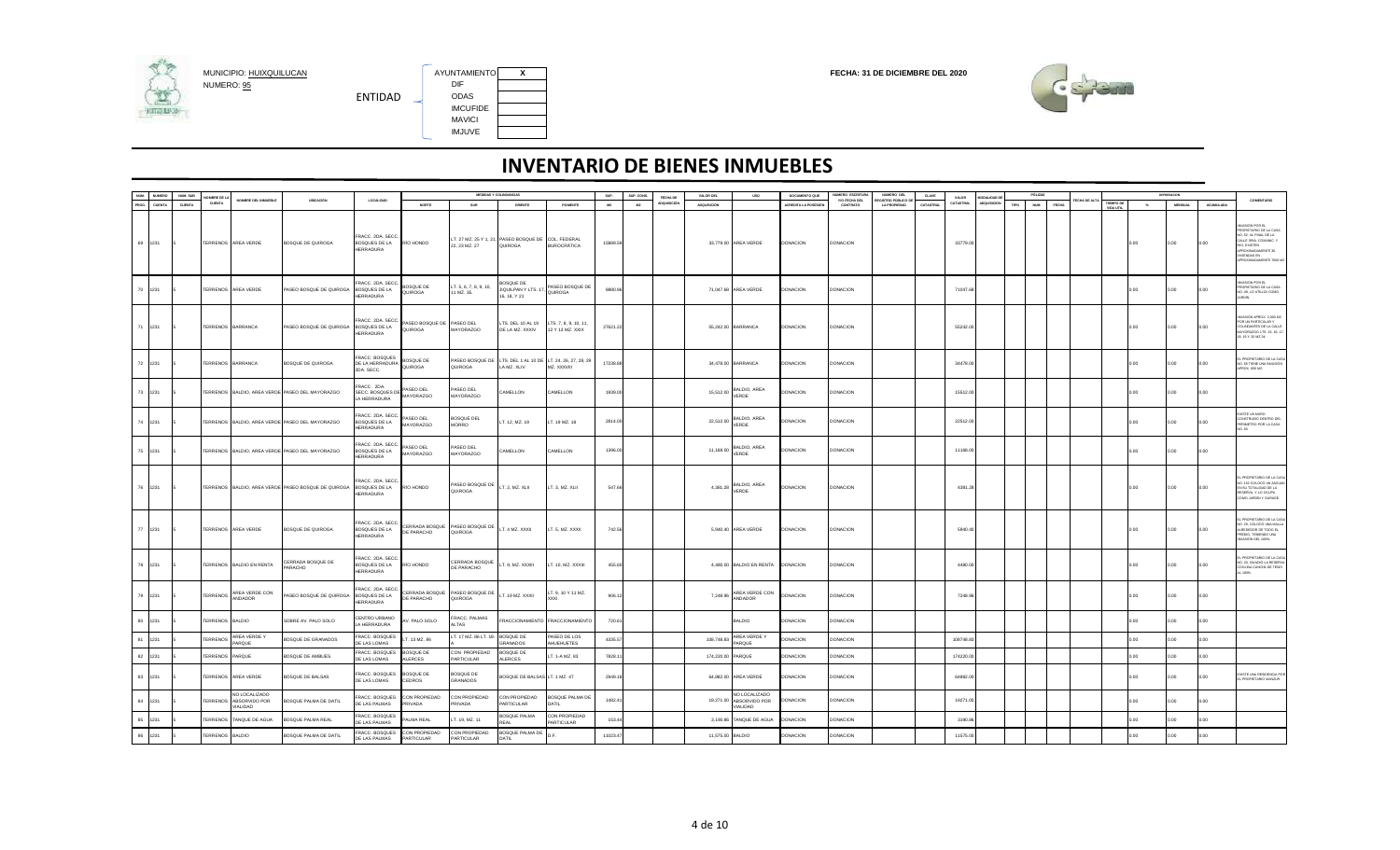

AYUNTAMIENTO X<br>DIF IMCUFIDE MAVICI IMJUVE



| NUM.  | NUMERO        | NUM. SUB | OMBRE DE LA            |                                                           |                                                     |                                                       |                                      |                                    | MEDIDAS Y COLINDANCIAS                                                    |                                           | SUP.     | SUP. CONS. | FECHA DE    | VALOR DEL         | <b>USO</b>                                       | DOCUMENTO QUE        | NUMERO ESCRITURA          | NUMERO DEL                                       | CLAVE     | VALOR     | MODALIDAD DE |      | PÓLIZAS             |             |                  |       | DEPRESADON     |           |                                                                                                                                                                        |
|-------|---------------|----------|------------------------|-----------------------------------------------------------|-----------------------------------------------------|-------------------------------------------------------|--------------------------------------|------------------------------------|---------------------------------------------------------------------------|-------------------------------------------|----------|------------|-------------|-------------------|--------------------------------------------------|----------------------|---------------------------|--------------------------------------------------|-----------|-----------|--------------|------|---------------------|-------------|------------------|-------|----------------|-----------|------------------------------------------------------------------------------------------------------------------------------------------------------------------------|
| PROG. | <b>CUENTA</b> | CUENTA   | CUENTA                 | NOMBRE DEL INMUERLE                                       | URICACIÓN                                           | LOCALIDAD                                             | <b>NORTE</b>                         | SUR                                | ORIENTE                                                                   | PONENTE                                   | M2       | M2         | ADQUISICIÓN | ADQUISICIÓN       |                                                  | ACREDITA LA POSESIÓ! | VIO FECHA DEL<br>CONTRATO | <b>REGISTRO PÚBLICO D</b><br><b>LA PROPIEDAD</b> | CATASTRAL | CATASTRAL | ADQUISICIÓN  | TIPO | <b>NUM</b><br>FECHA | ECHA DE ALT | <b>TIEMPO DE</b> | $-26$ | <b>MENSUAL</b> | ACUMULADA | COMENTARIO                                                                                                                                                             |
|       | 69 1231       |          |                        | TERRENOS AREA VERDE                                       | BOSQUE DE QUIROGA                                   | RACC. 2DA. SECC.<br>BOSQUES DE LA<br>HERRADURA        | RÍO HONDO                            | 22, 23 MZ. 27                      | LT. 27 MZ. 25 Y 1, 21, PASEO BOSQUE DE COL. FEDERAL<br>QUIROGA            | <b>BUROCRÁTICA</b>                        | 15889.59 |            |             |                   | 33,779.00 AREA VERDE                             | <b>DONACION</b>      | <b>DONACION</b>           |                                                  |           | 33779.0   |              |      |                     |             | VIDA LITI        | 0.00  | 0.00           | 0.00      | VASIÓN POR EL<br>ROPIETARIO DE LA CASA<br>0.52. AL FINAL DE LA<br>ALLE SRIA, COMUNIC, Y<br>O, EXISTEN<br>ROXIMADAMENTE 30<br><b>VIENDAS EN</b><br>ROXIMADAMENTE 7000 M |
|       | 70 1231       |          |                        | TERRENOS AREA VERDE                                       | PASEO BOSQUE DE QUIROGA BOSQUES DE LA               | RACC, 2DA, SECC<br>HERRADURA                          | BOSQUE DE<br>QUIROGA                 | T. 5, 6, 7, 8, 9, 10,<br>1 MZ. 35. | BOSQUE DE<br>JIQUILPAN Y LTS. 1<br>16, 18, Y 21                           | ASEO BOSQUE DE<br>QUIROGA                 | 8880.96  |            |             |                   | 71,047.68 AREA VERDE                             | DONACION             | DONACION                  |                                                  |           | 71047.68  |              |      |                     |             |                  | 0.00  | 0.00           | 0.00      | IR ROR KORA<br>ROPIETARIO DE LA CASA<br>0. 49, LO UTILIZA COMO<br>RDÍN                                                                                                 |
|       | 71 1231       |          | TERRENOS BARRANCA      |                                                           | PASEO BOSQUE DE QUIROGA BOSQUES DE LA               | RACC. 2DA. SECC.<br>HERRADURA                         | PASEO BOSQUE DE PASEO DEL<br>QUIROGA | MAYORAZGO                          | LTS. DEL 10 AL 19<br>DE LA MZ. XXXIV                                      | LTS. 7, 8, 9, 10, 11,<br>12 Y 13 MZ. XXIX | 27621.22 |            |             |                   | 55,242.00 BARRANCA                               | <b>DONACION</b>      | DONACION                  |                                                  |           | 55242.0   |              |      |                     |             |                  | 0.00. | 0.00           | 0.00      | VASIÓN APROX. 2,000 M2<br>OR UN PARTICULAR Y<br>OLINDANTES DE LA CALLE<br>AYORAZGO LTS. 15, 16, 1<br>8, 19 Y 20 MZ.34.                                                 |
|       | 72 1231       |          | TERRENOS BARRANCA      |                                                           | BOSQUE DE QUIROGA                                   | RACC. BOSQUES<br>DE LA HERRADURA<br>2DA. SECC.        | BOSQUE DE<br>QUIROGA                 | QUIROGA                            | PASEO BOSQUE DE LTS. DEL 1 AL 10 DE LT. 24, 26, 27, 28, 29<br>LA MZ. XLIV | MZ. XXXVIII                               | 17238.88 |            |             |                   | 34,478.00 BARRANCA                               | <b>DONACION</b>      | DONACION                  |                                                  |           | 34478.0   |              |      |                     |             |                  | 0.00  | 0.00           | 0.00      | PROPIETARIO DE LA CA<br>40. 65 TIENE UNA INVASIÓN<br>PROX. 600 M2.                                                                                                     |
|       | 73 1231       |          |                        |                                                           | TERRENOS BALDIO, AREA VERDE PASEO DEL MAYORAZGO     | RACC. 2DA.<br>SECC. BOSQUES DE<br>A HERRADURA         | PASEO DEL<br>MAYORAZGO               | PASEO DEL<br>MAYORAZGO             | CAMELLON                                                                  | CAMELLON                                  | 1939.00  |            |             | 15.512.00         | <b>ALDIO, AREA</b><br>VERDE                      | DONACION             | DONACION                  |                                                  |           | 15512.00  |              |      |                     |             |                  | 0.00  | 0.00           | 0.00      |                                                                                                                                                                        |
|       | 74 1231       |          |                        |                                                           | TERRENOS BALDIO, AREA VERDE PASEO DEL MAYORAZGO     | RACC. 2DA. SECC.<br>BOSQUES DE LA<br>HERRADURA        | PASEO DEL<br>MAYORAZGO               | SOSQUE DEL<br><b>MORRO</b>         | LT. 12, MZ. 19                                                            | T. 19 MZ. 18                              | 2814.00  |            |             | 22,512.00         | ALDIO, AREA<br>VERDE                             | <b>DONACION</b>      | DONACION                  |                                                  |           | 22512.00  |              |      |                     |             |                  | 00.   | 00             | 0.00      | <b>ISTE UN MURO</b><br>ONSTRUIDO DENTRO DEL<br>ERIMETRO POR LA CASA                                                                                                    |
|       | 75 1231       |          |                        |                                                           | TERRENOS BALDIO, AREA VERDE PASEO DEL MAYORAZGO     | RACC. 2DA. SECC.<br>BOSQUES DE LA<br>HERRADURA        | PASEO DEL<br>MAYORAZGO               | PASEO DEL<br>MAYORAZGO             | CAMELLON                                                                  | CAMELLON                                  | 1396.00  |            |             | 11.168.00         | BALDIO, AREA<br>VERDE                            | DONACION             | <b>DONACION</b>           |                                                  |           | 11168.0   |              |      |                     |             |                  | 0.00  | 0.00           | 0.00      |                                                                                                                                                                        |
|       | 76 1231       |          |                        |                                                           | TERRENOS BALDIO, AREA VERDE PASEO BOSQUE DE QUIROGA | RACC. 2DA. SECC.<br>BOSQUES DE LA<br><b>HERRADURA</b> | RÍO HONDO                            | PASEO BOSQUE DE<br>QUIROGA         | LT. 2, MZ. XLII                                                           | LT. 3, MZ. XLII                           | 547.66   |            |             | 4,381.28          | BALDIO, AREA<br>VERDE                            | <b>DONACION</b>      | DONACION                  |                                                  |           | 4381.28   |              |      |                     |             |                  | 0.00  | 0.00           | 0.00      | PROPIETARIO DE LA CAS<br>0. 152 COLOCÓ UN ZAGUA<br>N SU TOTALIDAD DE LA<br>SERVA, Y LO OCUPA<br>OMO JARDÍN Y GARAGE                                                    |
|       | 77 1231       |          |                        | TERRENOS AREA VERDE                                       | <b>BOSQUE DE QUIROGA</b>                            | RACC. 2DA. SECC.<br>BOSQUES DE LA<br><b>HERRADURA</b> | CERRADA BOSQUE<br>DE PARACHO         | PASEO BOSQUE DE<br>QUIROGA         | LT. 4 MZ. XXXII                                                           | LT. 5, MZ. XXXII                          | 742.56   |            |             |                   | 5,940.40 AREA VERDE                              | DONACION             | DONACION                  |                                                  |           | 5940.40   |              |      |                     |             |                  | 0.00  | 00.            | 0.00      | PROPIETARIO DE LA CA<br>0. 29, COLOCÓ UNA MALL<br>REDEDOR DE TODO EL<br>REDIO, TENENDO UNA<br>WASIÓN DEL 100%.                                                         |
|       | 78 1231       |          |                        | TERRENOS BALDIO EN RENTA                                  | CERRADA BOSQUE DE<br>PARACHO                        | FRACC. 2DA. SECC.<br>BOSQUES DE LA<br>HERRADURA       | RÍO HONDO                            | CERRADA BOSQUE<br>DE PARACHO       | LT. 9, MZ. XXXIII                                                         | LT. 10, MZ. XXXIII                        | 455.60   |            |             |                   | 4,480.00 BALDIO EN RENTA                         | <b>DONACION</b>      | <b>DONACION</b>           |                                                  |           | 4480.00   |              |      |                     |             |                  | 0.00  | 0.00           | 0.00      | PROPIETARIO DE LA CASA<br>3. 20. INVADIÓ LA RESERVA<br>CON UNA CANCHA DE TEN S<br>100%                                                                                 |
|       | 79 1231       |          |                        | TERRENOS AREA VERDE CON<br>ANDADOR                        | PASEO BOSQUE DE QUIROGA                             | RACC. 2DA. SECC.<br>BOSQUES DE LA<br>HERRADURA        | CERRADA BOSQUE<br>DE PARACHO         | ASEO BOSQUE DE<br><b>ADOSIUC</b>   | LT. 19 MZ. XXXII                                                          | .T. 9, 10 Y 11 MZ.                        | 906.12   |            |             | 7,248.96          | AREA VERDE CON<br><b>ANDADOR</b>                 | DONACION             | <b>DONACION</b>           |                                                  |           | 7248.96   |              |      |                     |             |                  | 0.00  | 0.00.          | 0.00      |                                                                                                                                                                        |
| 80    | 1231          |          | TERRENOS BALDIO        |                                                           | SOBRE AV. PALO SOLO                                 | CENTRO URBANO<br>A HERRADURA                          | AV. PALO SOLO                        | FRACC. PALMAS<br><b>TAS</b>        |                                                                           | RACCIONAMIENTO FRACCIONAMIENTO            | 720.61   |            |             |                   | <b>BALDIO</b>                                    | <b>DONACION</b>      | DONACION                  |                                                  |           |           |              |      |                     |             |                  | 0.00  | 00             | 0.00      |                                                                                                                                                                        |
|       | 81 1231       |          | <b><i>TERRENOS</i></b> | AREA VERDE Y<br>PARQUE                                    | BOSQUE DE GRANADOS                                  | RACC. BOSQUES<br>E LAS LOMAS                          | LT. 13 MZ. 86                        | T. 17 MZ. 86 LT. 18                | <b>BOSQUE DE</b><br>GRANADOS                                              | PASEO DE LOS<br>AHUEHUETES                | 4335.57  |            |             | 108,748.83        | AREA VERDE Y<br>PARQUE                           | <b>ONACION</b>       | <b>ONACION</b>            |                                                  |           | 108748.8  |              |      |                     |             |                  | .00   | 00.            | n c       |                                                                                                                                                                        |
| 82    | 1231          |          | <b>TERRENOS</b>        | PARQUE                                                    | BOSQUE DE AMBUES                                    | RACC. BOSQUES<br>DE LAS LOMAS                         | BOSQUE DE<br>ALERCES                 | CON PROPIEDAD<br>PARTICULAR        | <b>BOSQUE DE</b><br>ALERCES                                               | T. 1-A MZ. 83                             | 7828.11  |            |             | 174,220.00 PARQUE |                                                  | DONACION             | <b>DONACION</b>           |                                                  |           | 174220.00 |              |      |                     |             |                  | 00    | 00             | 0.00      |                                                                                                                                                                        |
|       | 83 1231       |          |                        | TERRENOS AREA VERDE                                       | BOSQUE DE BALSAS                                    | FRACC. BOSQUES<br>DE LAS LOMAS                        | BOSQUE DE<br>CEDROS                  | SOSQUE DE<br><b>SRANADOS</b>       | BOSQUE DE BALSAS LT. 1 MZ. 47                                             |                                           | 2949.18  |            |             |                   | 64,882.00 AREA VERDE                             | <b>DONACION</b>      | DONACION                  |                                                  |           | 64882.0   |              |      |                     |             |                  | 0.00  | 0.00.          | 0.00      | <b>USTE UNA RESIDENCIA PO</b><br>PROPIETARIO MANZUR.                                                                                                                   |
|       | 84 1231       |          |                        | NO LOCALIZADO<br>TERRENOS ABSORVIDO POR<br><b>JALIDAD</b> | BOSQUE PALMA DE DATIL                               | RACC. BOSQUES<br>DE LAS PALMAS                        | CON PROPIEDAD<br><b>RIVADA</b>       | CON PROPIEDAD<br>RIVADA            | CON PROPIEDAD<br>PARTICULAR                                               | BOSQUE PALMA DE<br><b>JITAC</b>           | 1482.41  |            |             | 19,271.00         | NO LOCALIZADO<br>ABSORVIDO POR<br><b>IALIDAD</b> | DONACION             | <b>DONACION</b>           |                                                  |           | 19271.00  |              |      |                     |             |                  | 00    | 00             | 0.00      |                                                                                                                                                                        |
| 85    | 1231          |          | <b>TERRENOS</b>        | TANQUE DE AGUA                                            | BOSQUE PALMA REAL                                   | RACC. BOSQUES<br>E LAS PALMAS                         | ALMA REAL                            | T. 19, MZ. 11                      | BOSQUE PALMA<br>RFAI                                                      | CON PROPIEDAD<br>ARTICULAR                | 153.44   |            |             |                   | 3,190.86 TANQUE DE AGUA                          | <b>ONACION</b>       | <b>DONACION</b>           |                                                  |           | 3190.86   |              |      |                     |             |                  | 00    | <b>OO</b>      | no.       |                                                                                                                                                                        |
|       | 86 1231       |          | TERRENOS BALDIO        |                                                           | BOSQUE PALMA DE DATIL                               | FRACC. BOSQUES<br>DE LAS PALMAS                       | CON PROPIEDAD<br>PARTICULAR          | CON PROPIEDAD<br>PARTICULAR        | <b>BOSQUE PALMA DE</b><br>DATIL                                           |                                           | 11023.47 |            |             | 11,575.00 BALDIO  |                                                  | DONACION             | <b>ONACION</b>            |                                                  |           | 11575.00  |              |      |                     |             |                  |       | 00             | 00        |                                                                                                                                                                        |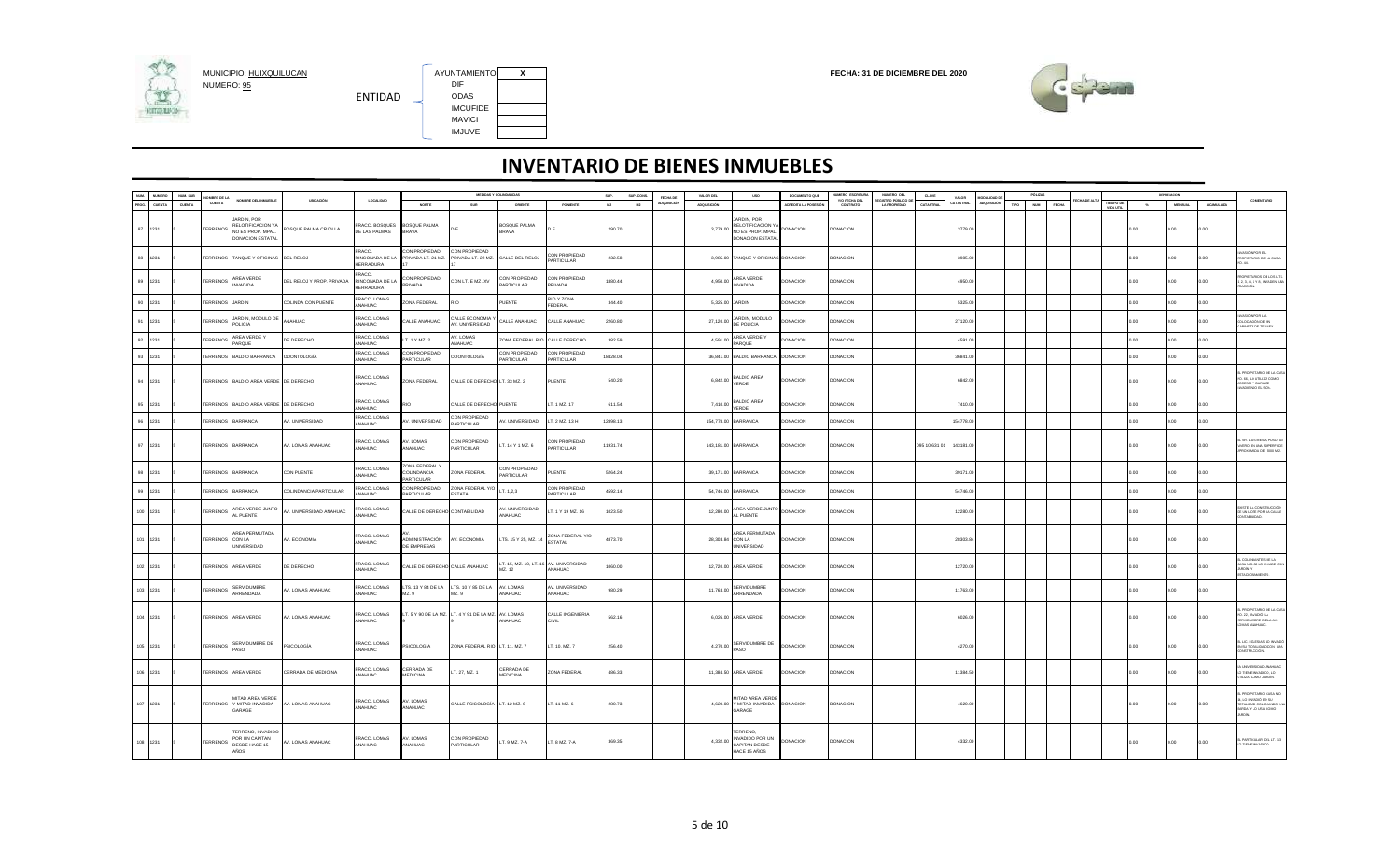

MUNICIPIO: <u>HUIXQUILUCAN</u><br>NUMERO: <u>95</u> DIF DIF DIF DIF DIR ENTIDAD IMCUFIDE MAVICI IMJUVE

AYUNTAMIENTO X<br>DIF



|          | NUM. NUMERO | NUM. SUB | NOMBRE DE LA      |                                                                                |                           |                                                      |                                            | MEDIDAS Y COLINDANCIAS                              |                                    |                                   | SUP.     | SUP. CONS. | FECHA DE  | VALOR DEL                                                             | <b>USO</b>                                                                               | DOCUMENTO QUE        | <b>IUMERO ESCRITURA</b>   | NUMERO DEL<br>FOISTRO PÚRI ICO I | <b>CLAVE</b> | VALOR            | MODALIDAD DE |      | PÓLIZAS    |              |                                   |               | DEPRESACION |                |                  |                                                                                       |
|----------|-------------|----------|-------------------|--------------------------------------------------------------------------------|---------------------------|------------------------------------------------------|--------------------------------------------|-----------------------------------------------------|------------------------------------|-----------------------------------|----------|------------|-----------|-----------------------------------------------------------------------|------------------------------------------------------------------------------------------|----------------------|---------------------------|----------------------------------|--------------|------------------|--------------|------|------------|--------------|-----------------------------------|---------------|-------------|----------------|------------------|---------------------------------------------------------------------------------------|
| PROG.    | CUENTA      | CUENTA   | CUENTA            | NOMBRE DEL INMUEBLE                                                            | <b>UBICACIÓN</b>          | LOCALIDAD                                            | NORTE                                      | SUR                                                 | ORIENTE                            | PONENTE                           | M2       | M2         | DQUISICIÓ | <b>ADQUISICIÓN</b>                                                    |                                                                                          | ACREDITA LA POSESIÓN | Y/O FECHA DEL<br>CONTRATO | <b>LA PROPIEDAD</b>              | CATASTRAL    | <b>CATASTRAL</b> | ADQUISICIÓN  | TIPO | <b>NUM</b> | <b>FECHA</b> | <b>HADE A</b><br><b>TIEMPO DI</b> | $\mathcal{H}$ |             | <b>MENSUAL</b> | <b>ACUMULADA</b> | <b>COMENTARIO</b>                                                                     |
| 87 1231  |             |          | <b>TERRENOS</b>   | ARDIN POR<br>RELOTIFICACION Y/<br>NO ES PROP. MPAL.<br><b>DONACION ESTATAL</b> | BOSQUE PALMA CRIOLLA      | RACC. BOSQUES<br>DE LAS PALMAS                       | BOSQUE PALMA<br><b>BRAVA</b>               | D F                                                 | BOSQUE PALMA<br><b>BRAVA</b>       | nF                                | 290.70   |            |           |                                                                       | <b>ARDIN, POR</b><br>RELOTIFICACION YA<br>3,779.00 NO ES PROP. MPAL.<br>DONACION ESTATAL | <b>DONACION</b>      | <b>DONACION</b>           |                                  |              | 3779.00          |              |      |            |              |                                   | 0.00          |             | 0.00           | 0.00             |                                                                                       |
| 88 1231  |             |          |                   | TERRENOS TANQUE Y OFICINAS                                                     | DEL RELOJ                 | FRACC:<br><b>RINCONADA DE LA</b><br><b>IERRADURA</b> | CON PROPIEDAD<br>PRIVADA LT. 21 MZ.        | CON PROPIEDAD<br>PRIVADA LT. 22 MZ.                 | CALLE DEL RELOJ                    | CON PROPIEDAD<br><b>ARTICULAR</b> | 232.58   |            |           |                                                                       | 3,985.00 TANQUE Y OFICINAS DONACION                                                      |                      | DONACION                  |                                  |              | 3985.00          |              |      |            |              |                                   | 0.00          |             | 00.0           | 0.00             | VASIÓN POR EL<br>OPIETARIO DE LA CASA<br>0.44.                                        |
| 89 1231  |             |          | <b>TERRENOS</b>   | AREA VERDE<br>NVADIDA                                                          | DEL RELOJ Y PROP. PRIVADA | RACC.<br>RINCONADA DE LA<br>HERRADURA                | CON PROPIEDAD<br>PRIVADA                   | CON LT. E MZ. XV                                    | CON PROPIEDAD<br>PARTICULAR        | CON PROPIEDAD<br>PRIVADA          | 1880.44  |            |           | 4,950.00                                                              | AREA VERDE<br><b>INVADIDA</b>                                                            | DONACION             | DONACION                  |                                  |              | 4950.00          |              |      |            |              |                                   | 0.00          |             | 00.0           | 0.00             | OPIETARIOS DE LOS LTS<br>2, 3, 4, 5 Y 8, INVADEN UN                                   |
| 90 1231  |             |          | <b>TERRENOS</b>   | <b>JARDIN</b>                                                                  | COLINDA CON PUENTE        | RACC. LOMAS<br>MAHUAC                                | ONA FEDERAL                                | <b>OIS</b>                                          | PUENTE                             | RIO Y ZONA<br><b>EDERAL</b>       | 344.40   |            |           |                                                                       | 5,325.00 JARDIN                                                                          | DONACION             | DONACION                  |                                  |              | 5325.0           |              |      |            |              |                                   | 00            |             | 00.0           | 00               |                                                                                       |
| 91       | 1231        |          | <b>TERRENOS</b>   | <b>JARDIN, MODULO DE</b><br>POLICIA                                            | NAHUAC                    | RACC. LOMAS<br>ANAHUAC                               | ALLE ANAHUAC                               | ALLE ECONOMIA<br><b>V. UNIVERSIDAD</b>              | CALLE ANAHUAC                      | ALLE ANAHUAC                      | 2260.80  |            |           | 27,120.00                                                             | JARDIN MODLILO<br>DE POLICIA                                                             | <b>ONACION</b>       | <b>ONACION</b>            |                                  |              | 27120.0          |              |      |            |              |                                   | 00            |             | .00            | .00              | VASIÓN POR LA<br><b>LOCACIÓN DE UN</b><br>ABINETE DE TELMEX                           |
| 92       | 1231        |          | <b>TERRENOS</b>   | AREA VERDE Y<br>AROUF                                                          | DE DERECHO                | RACC. LOMAS<br>ANAHUAC                               | T. 1 Y MZ. 2                               | V. LOMAS<br><b>NAHLIAC</b>                          | ZONA FEDERAL RI                    | CALLE DERECHO                     | 382.59   |            |           | 4,591.00                                                              | AREA VERDE Y<br>PAROUF                                                                   | <b>JONACION</b>      | DONACION                  |                                  |              | 4591.0           |              |      |            |              |                                   | 00            |             | 0.00           | .00              |                                                                                       |
| 93       | 1231        |          | TERRENOS          | BALDIO BARRANCA                                                                | <b>ODONTOLOGÍA</b>        | RACC. LOMAS<br>NAHUAC                                | CON PROPIEDAD<br>ARTICULAR                 | <b>DDONTOLOGÍA</b>                                  | CON PROPIEDAD<br><b>PARTICULAR</b> | ON PROPIEDAD<br>ARTICULAR         | 18428.04 |            |           |                                                                       | 36,841.00 BALDIO BARRANCA                                                                | DONACION             | DONACION                  |                                  |              | 36841.0          |              |      |            |              |                                   | 00            |             | 00.0           | 0.0              |                                                                                       |
| 94 1231  |             |          |                   | TERRENOS BALDIO AREA VERDE DE DERECHO                                          |                           | FRACC. LOMAS<br>ANAHUAC                              | ZONA FEDERAL                               | CALLE DE DERECHO LT. 33 MZ. 2                       |                                    | PUENTE                            | 540.20   |            |           | $6,842.00$ $\overset{\text{Lip} \text{Lip} \text{Lip}}{\text{VERDE}}$ | <b>BALDIO AREA</b>                                                                       | DONACION             | <b>DONACION</b>           |                                  |              | 6842.00          |              |      |            |              |                                   | 0.00          |             | 0.00           | 0.00             | PROPIETARIO DE LA C<br>O. 66, LO UTILIZA COMO<br>OCESO Y GARAGE<br>VADIENDO EL 50%.   |
| 95       | 1231        |          |                   | TERRENOS BALDIO AREA VERDE DE DERECHO                                          |                           | RACC. LOMAS<br>ANAHUAC                               | <b>CIS</b>                                 | CALLE DE DERECHO PUENTE                             |                                    | T. 1 MZ. 17                       | 611.54   |            |           | 7.410.00                                                              | <b>BALDIO AREA</b><br>VERDE                                                              | DONACION             | DONACION                  |                                  |              | 7410.0           |              |      |            |              |                                   | n G           |             | n nn           | on.              |                                                                                       |
| 96       | 1231        |          | TERRENOS          | <b>ARRANCA</b>                                                                 | V. UNIVERSIDAD            | RACC. LOMAS<br>NAHUAC                                | V. UNIVERSIDAD                             | CON PROPIEDAD<br><b>PARTICULAR</b>                  | V. UNIVERSIDAD                     | T. 2 MZ. 13 H                     | 12898.13 |            |           |                                                                       | 154,778.00 BARRANCA                                                                      | <b>ONACION</b>       | DONACION                  |                                  |              | 154778.0         |              |      |            |              |                                   | 00            |             | 00             | $00^{1}$         |                                                                                       |
| 97 1231  |             |          | TERRENOS BARRANCA |                                                                                | AV. LOMAS ANAHUAC         | FRACC. LOMAS<br>ANAHUAC                              | AV. LOMAS<br><b>ANAHUAC</b>                | CON PROPIEDAD<br>PARTICULAR                         | LT. 14 Y 1 MZ. 6                   | CON PROPIEDAD<br><b>ARTICULAR</b> | 11931.74 |            |           |                                                                       | 143,181.00 BARRANCA                                                                      | DONACION             | <b>DONACION</b>           |                                  | 095 10 631 0 | 143181.00        |              |      |            |              |                                   | 0.00          |             | 0.00           | 0.00             | L SR. LUIS MESA, PUSO U<br>VERO EN UNA SUPERFICI<br>ROXIMADA DE 2000 M2               |
| 98 1231  |             |          | TERRENOS BARRANCA |                                                                                | CON PUENTE                | FRACC. LOMAS<br><b>NAHUAC</b>                        | ZONA FEDERAL Y<br>COLINDANCIA<br>ARTICULAR | ZONA FEDERAL                                        | CON PROPIEDAD<br><b>PARTICULAR</b> | UENTE                             | 5264.24  |            |           |                                                                       | 39,171.00 BARRANCA                                                                       | DONACION             | DONACION                  |                                  |              | 39171.0          |              |      |            |              |                                   | 0.00          |             | 0.00           | 0.00             |                                                                                       |
| 99 1231  |             |          | TERRENOS BARRANCA |                                                                                | COLINDANCIA PARTICULAR    | <b>FRACC, LOMAS</b><br><b>NAHUAC</b>                 | CON PROPIEDAD<br><b>ARTICULAR</b>          | ZONA FEDERAL Y/<br><b>FSTATAL</b>                   | LT. 1,2,3                          | CON PROPIEDAD<br>ARTICULAR        | 4592.14  |            |           |                                                                       | 54,746.00 BARRANCA                                                                       | <b>JONACION</b>      | <b>JONACION</b>           |                                  |              | 54746.0          |              |      |            |              |                                   | .00           |             | 0.00           | 00               |                                                                                       |
| 100 1231 |             |          | <b>TERRENOS</b>   | AREA VERDE JUNTO<br>AL PUENTE                                                  | V. UNIVERSIDAD ANAHUAC    | RACC. LOMAS<br><b>NAHUAC</b>                         | ALLE DE DERECHO                            | <b>CONTABILIDAD</b>                                 | V. UNIVERSIDAD<br>ANAHUAC          | T. 1 Y 19 MZ. 16                  | 1023.50  |            |           | 12,280.00                                                             | AREA VERDE JUNTO<br>AL PUENTE                                                            | DONACION             | <b>DONACION</b>           |                                  |              | 12280.00         |              |      |            |              |                                   | 0.00          |             | 0.00           | 0.00             | <b>XISTE LA CONSTRUCCIÓN</b><br>UN LOTE POR LA CALLE<br>ONTABILIDAD.                  |
| 101 1231 |             |          | TERRENOS CON LA   | AREA PERMUTADA<br><b>INIVERSIDAD</b>                                           | V. ECONOMIA               | RACC. LOMAS<br>NAHUAC                                | <b>IDMINISTRACIÓN</b><br>DE EMPRESAS       | AV. ECONOMIA                                        | LTS. 15 Y 25, MZ. 1                | ONA FEDERAL Y/O<br>STATAL         | 4873.70  |            |           | 28,303.84                                                             | AREA PERMUTADA<br>CON LA<br>UNIVERSIDAD                                                  | DONACION             | <b>DONACION</b>           |                                  |              | 28303.8          |              |      |            |              |                                   | 0.00          |             | 0.00           | 0.00             |                                                                                       |
| 102 1231 |             |          |                   | TERRENOS AREA VERDE                                                            | DE DERECHO                | RACC. LOMAS<br>MAHUAC                                | ALLE DE DERECHO CALLE ANAHUAC              |                                                     | T. 15, MZ. 10, LT. 1<br>AZ. 12     | AV. UNIVERSIDAD<br>MAHUAC         | 1060.00  |            |           |                                                                       | 12.720.00 AREA VERDE                                                                     | DONACION             | <b>DONACION</b>           |                                  |              | 12720.00         |              |      |            |              |                                   | 0.00          |             | 0.00           | 0.00             | COLINDANTES DE LA<br>ASA NO. 66 LO INVADE CO<br>RDİN Y<br>STACIONAMIENTO.             |
| 103 1231 |             |          | TERRENOS          | <b>SFRVIDUMBRE</b><br>ARRENDADA                                                | V. LOMAS ANAHUAC          | FRACC. LOMAS<br><b>NAHUAC</b>                        | LTS. 13 Y 84 DE LA<br>MZ. 9                | LTS. 10 Y 85 DE LA<br>MZ. 9                         | AV LOMAS<br>ANAHUAC                | AV. UNIVERSIDAD<br><b>NAHUAC</b>  | 980.29   |            |           | 11,763.00                                                             | <b>SERVIDLIMBRE</b><br>ARRENDADA                                                         | <b>JONACION</b>      | DONACION                  |                                  |              | 11763.00         |              |      |            |              |                                   | 0.00          |             | 0.00           | 0.00             |                                                                                       |
| 104 1231 |             |          |                   | TERRENOS AREA VERDE                                                            | AV. LOMAS ANAHUAC         | FRACC. LOMAS<br>ANAHUAC                              |                                            | LT. 5 Y 90 DE LA MZ. LT. 4 Y 91 DE LA MZ. AV. LOMAS | ANAHUAC                            | CALLE INGENIERIA<br>CIVIL         | 562.16   |            |           |                                                                       | 6,026.00 AREA VERDE                                                                      | DONACION             | DONACION                  |                                  |              | 6026.00          |              |      |            |              |                                   | 0.00          |             | 0.00           | 0.00             | L PROPIETARIO DE LA CA<br>0. 22, INVADIÓ LA<br>ERVIDUMBRE DE LA AV.<br>MAS ANAHUAC.   |
| 105 1231 |             |          | <b>TERRENOS</b>   | SERVIDUMBRE DE<br><b>ASO</b>                                                   | <b>PSICOLOGÍA</b>         | RACC. LOMAS<br><b>NAHUAC</b>                         | PSICOLOGÍA                                 | ZONA FEDERAL RIO LT. 11, MZ. 7                      |                                    | T. 10, MZ. 7                      | 256.40   |            |           | 4,270.00                                                              | SERVIDUMBRE DE<br>ASO                                                                    | DONACION             | <b>DONACION</b>           |                                  |              | 4270.00          |              |      |            |              |                                   | 0.00          |             | $00 -$         | 0.00             | LIC. IGLESIAS LO INVA<br>EN SU TOTALIDAD CON UN<br>WSTRUCCIÓN.                        |
| 106 1231 |             |          |                   | TERRENOS AREA VERDE                                                            | CERRADA DE MEDICINA       | RACC. LOMAS<br>ANAHUAC                               | CERRADA DE<br><b>MEDICINA</b>              | T. 27, MZ. 1                                        | CERRADA DE<br><b>MEDICINA</b>      | ZONA FEDERAL                      | 486.33   |            |           |                                                                       | 11,384.50 AREA VERDE                                                                     | <b>DONACION</b>      | DONACION                  |                                  |              | 11384.5          |              |      |            |              |                                   | 0.00          |             | 0.00           | 0.00             | UNIVERSIDAD ANAHUA<br>O TIENE INVADIDO, LO<br><b>ITILIZA COMO JARDÍN.</b>             |
| 107 1231 |             |          |                   | <b>MITAD AREA VERDE</b><br>TERRENOS Y MITAD INVADIDA<br><b>SARAGE</b>          | AV. LOMAS ANAHUAC         | RACC. LOMAS<br>OALIHANA                              | AV. LOMAS<br><b>ANAHLIAC</b>               | CALLE PSICOLOGÍA LT. 12 MZ. 6                       |                                    | LT. 11 MZ. 6                      | 280.73   |            |           |                                                                       | MITAD AREA VERDE<br>4,620.00 Y MITAD INVADIDA<br>GARAGE                                  | <b>DONACION</b>      | <b>DONACION</b>           |                                  |              | 4620.00          |              |      |            |              |                                   | 0.00          |             | 0.00           | 0.00             | PROPIETARIO CASA NO<br>LO INVADIÓ EN SU<br>OTALIDAD COLOCANDO L<br>ARDA Y LO USA COMO |
| 108 1231 |             |          | <b>TERRENOS</b>   | <b>TERRENO, INVADIDO</b><br>POR UN CAPITAN<br>DESDE HACE 15<br>AÑOS            | AV. LOMAS ANAHUAC         | <b>FRACC, LOMAS</b><br>NAHUAC                        | <b>AV LOMAS</b><br>NAHUAC                  | CON PROPIEDAD<br><b>ARTICULAR</b>                   | T. 9 MZ. 7-A                       | T. 8 MZ. 7-A                      | 369.35   |            |           | 4,332.00                                                              | TERRENO,<br>INVADIDO POR UN<br>CAPITAN DESDE<br>HACE 15 AÑOS                             | DONACION             | <b>ONACION</b>            |                                  |              | 4332.00          |              |      |            |              |                                   | 0.00          |             | 0.00           | 0.00             | PARTICULAR DEL LT. 13,<br>O TIENE INVADIDO.                                           |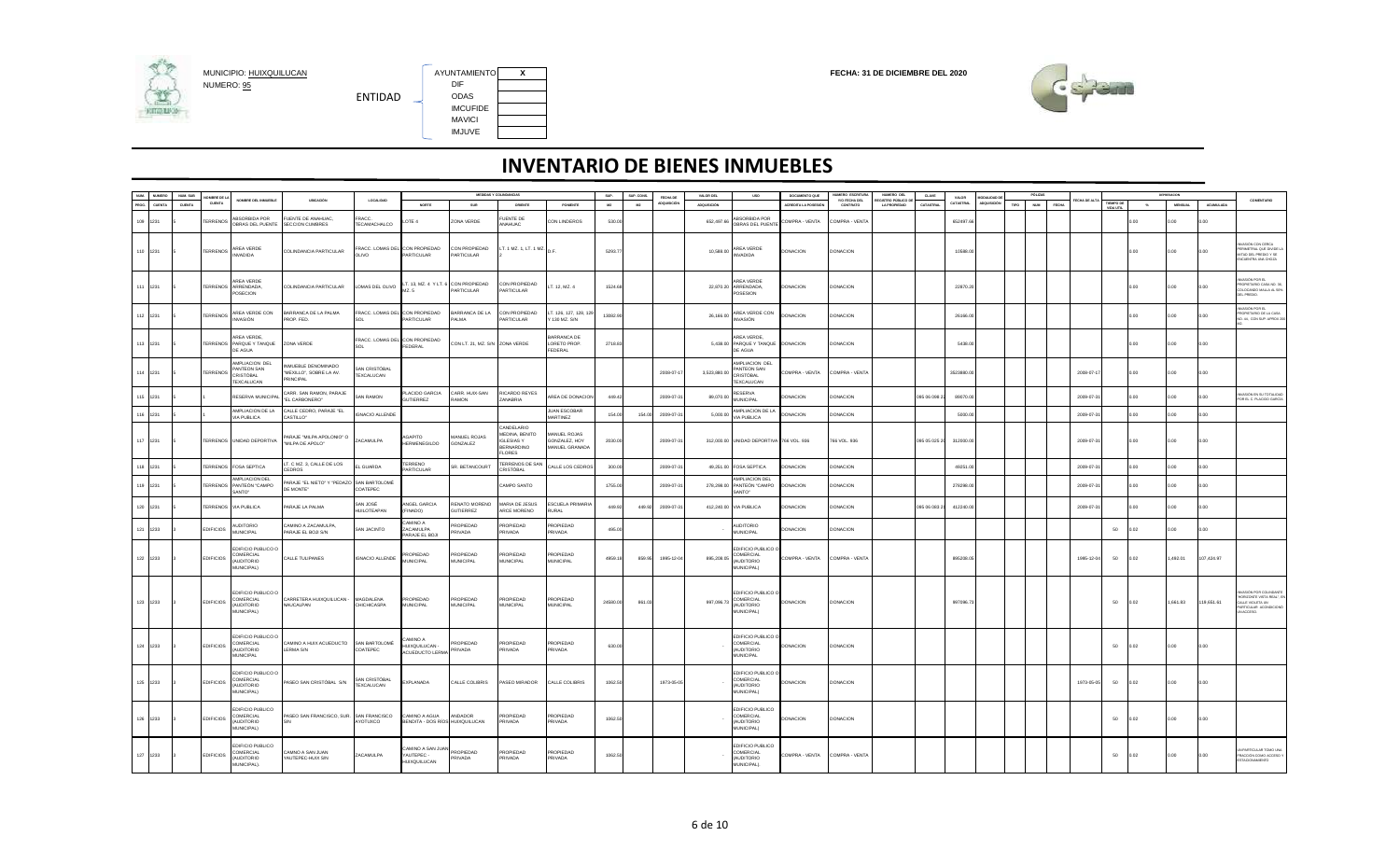

MUNICIPIO: <u>HUIXQUILUCAN</u><br>NUMERO: <u>95</u> DIF DIF DIF DIF DIR ENTIDAD IMCUFIDE MAVICI IMJUVE

AYUNTAMIENTO X<br>DIF



|                             | NUM. SUB | NOMBRE DE LA           | NOMBRE DEL INMUEBLE                                                       | UBICACIÓN                                                          | <b>LOCALIDAD</b>                                                                                                                                                  |                                                  |                                   | MEDIDAS Y COLINDANCIAS                                                            |                                                 | SUP.     | SUP. CONS. | FECHA DE   | VALOR DEL    | <b>USO</b>                                                             | DOCUMENTO QUE        | NUMERO ESCRITURA          | NUMERO DEL                                | <b>CLAVE</b>  | VALOR      | MODALIDAD DI | PÓLIZA             |       |            |            |         | pretreager     |            |                                                                                                           |
|-----------------------------|----------|------------------------|---------------------------------------------------------------------------|--------------------------------------------------------------------|-------------------------------------------------------------------------------------------------------------------------------------------------------------------|--------------------------------------------------|-----------------------------------|-----------------------------------------------------------------------------------|-------------------------------------------------|----------|------------|------------|--------------|------------------------------------------------------------------------|----------------------|---------------------------|-------------------------------------------|---------------|------------|--------------|--------------------|-------|------------|------------|---------|----------------|------------|-----------------------------------------------------------------------------------------------------------|
| NUM. NUMERO<br>PROG. CUENTA | CUENTA   | CUENTA                 |                                                                           |                                                                    |                                                                                                                                                                   | NORTE                                            | SUR                               | ORIENTE                                                                           | PONENTE                                         | M2       | M2         | DQUISICIÓ  | ADQUISICIÓN  |                                                                        | ACREDITA LA POSESIÓN | Y/O FECHA DEL<br>CONTRATO | EGISTRO PÚBLICO DI<br><b>LA PROPIEDAD</b> | CATASTRAL     | CATASTRAL  | poulsició    | <b>NUM</b><br>TIPO | FECHA |            |            | $^{16}$ | <b>MENSUAL</b> | ACUMULADA  | COMENTARIO                                                                                                |
| 109 1231                    |          | <b><i>TERRENOS</i></b> | ABSORBIDA POR<br>OBRAS DEL PUENTE                                         | <b>FUENTE DE ANAHUAC</b><br>SECCION CUMBRES                        | FRACC.<br>TECAMACHALCO                                                                                                                                            | LOTE 4                                           | ZONA VERDE                        | FUENTE DE<br>ANAHUAC                                                              | <b>CON LINDEROS</b>                             | 530.00   |            |            |              | ABSORBIDA POR<br>652,497.66 BRAS DEL PUENTE                            | COMPRA - VENTA       | COMPRA - VENTA            |                                           |               | 652497.6   |              |                    |       |            |            | 0.00    | 0.00           | 0.00       |                                                                                                           |
| 110 1231                    |          | <b>TERRENOS</b>        | AREA VERDE<br><b>INVADIDA</b>                                             | COLINDANCIA PARTICULAR                                             | FRACC. LOMAS DEL CON PROPIEDAD<br>OLIVO                                                                                                                           | PARTICULAR                                       | CON PROPIEDAD<br>PARTICULAR       | LT. 1 MZ. 1, LT. 1 MZ. D.F.                                                       |                                                 | 5293.77  |            |            | 10,588.00    | AREA VERDE<br><b>INVADIDA</b>                                          | <b>DONACION</b>      | <b>DONACION</b>           |                                           |               | 10588.0    |              |                    |       |            |            | 0.00    | 0.00           | 0.00       | <b>ISIÓN CON CERCA</b><br>ERIMETRAL QUE DIVIDE L<br>MITAD DEL PREDIO Y SE<br>NCUENTRA UNA CHOZA           |
| 111 1231                    |          |                        | <b>ARFA VERDE</b><br>TERRENOS ARRENDADA.<br>POSECION                      | COLINDANCIA PARTICULAR                                             | LOMAS DEL OLIVO $\begin{bmatrix} \text{LT. 13, MZ. 4} \\ \text{MZ} \end{bmatrix}$ of $\begin{bmatrix} \text{CON PROPIEDAD} \\ \text{CON PROPIEDAD} \end{bmatrix}$ | MZ. 5                                            | PARTICULAR                        | CON PROPIEDAD<br>PARTICULAR                                                       | LT. 12, MZ. 4                                   | 1524.68  |            |            |              | AREA VERDE<br>22.870.20 ARRENDADA.<br>POSESION                         | DONACION             | DONACION                  |                                           |               | 22870.2    |              |                    |       |            |            | 0.00    | 0.00           | 0.00       | IR ROR KÖRA<br>ROPIETARIO CASA NO. 36<br>OLOCANDO MALLA AL 50%<br>OKI PREDIO                              |
| 112 1231                    |          | <b>TERRENOS</b>        | AREA VERDE CON<br>INVASIÓN                                                | BARRANCA DE LA PALMA<br>PROP. FED.                                 | RACC. LOMAS DEL CON PROPIEDAD<br>SOI                                                                                                                              | ARTICULAR                                        | BARRANCA DE LA<br>PALMA           | CON PROPIEDAD<br>PARTICULAR                                                       | LT. 126, 127, 128, 129<br>Y 130 MZ. S/N         | 13082.90 |            |            | 26,166.00    | AREA VERDE CON<br>INVASIÓN                                             | <b>DONACION</b>      | <b>DONACION</b>           |                                           |               | 26166.0    |              |                    |       |            |            | 0.00    | 0.00           | o oo       | ASIÓN POR EL<br>ROPIETARIO DE LA CASA<br>NO. 44, CON SUP. APROX 2                                         |
| 113 1231                    |          |                        | AREA VERDE,<br>TERRENOS PARQUE Y TANQUE<br>DE AGUA                        | ZONA VERDE                                                         | FRACC. LOMAS DEL CON PROPIEDAD<br>SOL                                                                                                                             | FEDERAL                                          | CON LT. 21, MZ. S/N ZONA VERDE    |                                                                                   | BARRANCA DE<br>LORETO PROP.<br>FEDERAL          | 2718.83  |            |            |              | AREA VERDE,<br>5,438.00 PARQUE Y TANQUE DONACION<br>DE AGUA            |                      | <b>DONACION</b>           |                                           |               | 5438.0     |              |                    |       |            |            | 0.00    | 0.00           | 0.00       |                                                                                                           |
| 114 1231                    |          | <b><i>TERRENOS</i></b> | AMPLIACION DEL<br>PANTEON SAN<br>CRISTÓBAL<br><b>TEXCALUCAN</b>           | INMUEBLE DENOMINADO<br>"MEXILLO", SOBRE LA AV.<br><b>PRINCIPAL</b> | SAN CRISTÓBAL<br>TEXCALUCAN                                                                                                                                       |                                                  |                                   |                                                                                   |                                                 |          |            | 2008-07-11 | 3,523,880.00 | AMPLIACION DEL<br>PANTEON SAN<br>CRISTÓBAL<br><b>TEXCALUCAN</b>        | COMPRA - VENTA       | COMPRA - VENTA            |                                           |               | 3523880.00 |              |                    |       | 2008-07-1  |            | 0.00.   | 0.00           | 0.00       |                                                                                                           |
| 115 1231                    |          |                        | RESERVA MUNICIPAL                                                         | CARR. SAN RAMON, PARAJE<br>"EL CARBONERO"                          | <b>SAN RAMON</b>                                                                                                                                                  | LACIDO GARCIA<br>GUTIERREZ                       | CARR. HUIX-SAN<br><b>RAMON</b>    | RICARDO REYES<br><b>ZANABRIA</b>                                                  | AREA DE DONACION                                | 449.4    |            | 2009-07-3  | 89.070.0     | <b>RESERVA</b><br><b>MUNICIPAL</b>                                     | <b>DONACION</b>      | <b>DONACION</b>           |                                           | 095 06 098 2  | 89070.0    |              |                    |       | 2009-07-3  |            |         | 0.00           | 0.00       | ASIÓN EN SU TOTALIDAD<br>OR EL C. PLACIDO GARCÍA                                                          |
| 116 1231                    |          |                        | AMPLIACION DE LA<br>VIA PUBLICA                                           | CALLE CEDRO, PARAJE "EL<br>CASTILLO"                               | <b>IGNACIO ALLENDE</b>                                                                                                                                            |                                                  |                                   |                                                                                   | JUAN ESCOBAR<br>MARTINEZ                        | 154.00   | 154.00     | 2009-07-3  | 5,000.00     | AMPLIACION DE LA<br>VIA PUBLICA                                        | <b>DONACION</b>      | DONACION                  |                                           |               | 5000.0     |              |                    |       | 2009-07-3  |            | 0.00    | 0.00           | o oo       |                                                                                                           |
| 117 1231                    |          |                        | TERRENOS UNIDAD DEPORTIVA                                                 | PARAJE "MILPA APOLONIO" O<br>"MILPA DE APOLO"                      | ZACAMULPA                                                                                                                                                         | <b>AGAPITO</b><br><b>HERMENEGILDO</b>            | MANUEL ROJAS<br>GONZALEZ          | CANDELARIO<br>MEDINA, BENITO<br><b>IGLESIAS Y</b><br>BERNARDINO<br><b>FI ORES</b> | MANUEL ROJAS<br>GONZALEZ, HOY<br>MANUEL GRANADA | 2030.00  |            | 2009-07-31 |              | 312,000.00 UNIDAD DEPORTIVA 766 VOL. 936                               |                      | 766 VOL. 936              |                                           | 095 05 025 20 | 312000.00  |              |                    |       | 2009-07-3  |            | 0.00    | 0.00           | 0.00       |                                                                                                           |
| 118 1231                    |          | <b>ERRENOS</b>         | <b>FOSA SEPTICA</b>                                                       | LT. C MZ. 3, CALLE DE LOS<br>CEDROS                                | L GUARDA                                                                                                                                                          | <b><i>FERRENO</i></b><br>ARTICULAR               | SR. BETANCOURT                    | TERRENOS DE SAM<br>CRISTÓBAL                                                      | CALLE LOS CEDROS                                | 300.0    |            | 2009-07-3  |              | 49,251.00 FOSA SEPTICA                                                 | DONACION             | DONACION                  |                                           |               | 49251.0    |              |                    |       | 2009-07-3  |            | n nn    | 0.00           | 0.00       |                                                                                                           |
| 119 1231                    |          | <b>TERRENOS</b>        | AMPLIACION DEL<br>PANTEÓN "CAMPO<br>SANTO*                                | PARAJE "EL NIETO" Y "PEDAZO SAN BARTOLOMÉ<br>DE MONTE"             | COATEPEC                                                                                                                                                          |                                                  |                                   | CAMPO SANTO                                                                       |                                                 | 1755.0   |            | 2009-07-3  |              | AMPLIACION DEL<br>278,298.00 PANTEÓN "CAMPO<br>SANTO"                  | DONACION             | DONACION                  |                                           |               | 278298.0   |              |                    |       | 2009-07-3  |            | n nn    | 0.00           | 0.00       |                                                                                                           |
| 120 1231                    |          |                        | <b>ERRENOS VIA PUBLICA</b>                                                | PARAJE LA PALMA                                                    | SAN IOSÉ<br><b>HUILOTEAPAN</b>                                                                                                                                    | ANGEL GARCIA<br>FINADO)                          | RENATO MORENO<br><b>GUTIERREZ</b> | MARIA DE JESUS<br>ARCE MORENO                                                     | ESCUELA PRIMARIA<br>RURAL                       | 449.92   | 449.92     | 2009-07-3  |              | 412,240.00 VIA PUBLICA                                                 | DONACION             | <b>DONACION</b>           |                                           | 095 06 083 2  | 412240.00  |              |                    |       | 2009-07-3  |            | 0.00    | 0.00           | 0.00       |                                                                                                           |
| 121 1233                    |          | <b>EDIFICIOS</b>       | <b>AUDITORIO</b><br>MUNICIPAL                                             | CAMINO A ZACAMULPA<br>PARAJE EL BOJI S/N                           | SAN JACINTO                                                                                                                                                       | AMINO A<br>ZACAMULPA<br>PARAJE EL BOJI           | PROPIEDAD<br><b>RIVADA</b>        | <b>PROPIEDAD</b><br>PRIVADA                                                       | PROPIEDAD<br>PRIVADA                            | 495.0    |            |            |              | <b>AUDITORIO</b><br>MUNICIPAL                                          | <b>DONACION</b>      | DONACION                  |                                           |               |            |              |                    |       |            | 50         | 0.02    | 0.00           | 0.00       |                                                                                                           |
| 122 1233                    |          | <b>EDIFICIOS</b>       | DIFICIO PUBLICO O<br>COMERCIAL<br><b>OI ROTIOLIA</b><br><b>MUNICIPAL)</b> | CALLE TULIPANES                                                    | <b>IGNACIO ALLENDE</b>                                                                                                                                            | PROPIEDAD<br><b>MUNICIPAL</b>                    | PROPIEDAD<br><b>MUNICIPAL</b>     | PROPIEDAD<br><b>MUNICIPAL</b>                                                     | PROPIEDAD<br><b>MUNICIPAL</b>                   | 4959.18  | 859.95     | 1995-12-04 | 895,208.05   | EDIFICIO PUBLICO O<br><b>COMERCIAL</b><br>(AUDITORIO<br>MUNICIPAL)     | COMPRA - VENTA       | COMPRA - VENTA            |                                           |               | 895208.05  |              |                    |       | 1995-12-04 | 50         | 0.02    | 1,492.01       | 107,424.97 |                                                                                                           |
| 123 1233                    |          | <b>EDIFICIOS</b>       | EDIFICIO PUBLICO O<br>COMERCIAL<br>(AUDITORIO<br>MUNICIPAL)               | CARRETERA HUIXQUILUCAN -<br>NAUCALPAN                              | MAGDALENA<br>CHICHICASPA                                                                                                                                          | PROPIEDAD<br>MUNICIPAL                           | PROPIEDAD<br><b>MUNICIPAL</b>     | PROPIEDAD<br><b>MUNICIPAL</b>                                                     | PROPIEDAD<br>MUNICIPAL                          | 24580.00 | 861.0      |            |              | EDIFICIO PUBLICO C<br>COMERCIAL<br>997,096.73 (AUDITORIO<br>MUNICIPAL) | <b>DONACION</b>      | <b>DONACION</b>           |                                           |               | 997096.7   |              |                    |       |            | 50         | 0.02    | 1.661.83       | 119,651.61 | ASIÓN POR COLINDANTI<br>ORIZONTE VISTA REAL*, E<br>CALLE VIOLETA UN<br>RTICULAR ACONDICIONÓ<br>UN ACCESO. |
| 124 1233                    |          | <b>EDIFICIOS</b>       | EDIFICIO PUBLICO O<br>COMERCIAL<br>(AUDITORIO<br><b>MUNICIPAL</b>         | CAMINO A HUIX ACUEDUCTO<br>LERMA S/N                               | SAN BARTOLOMÉ<br><b>COATEPEC</b>                                                                                                                                  | A QIMING<br>HUIXQUILUCAN -<br>ACUEDUCTO LERMA    | PROPIEDAD<br>PRIVADA              | <b>PROPIEDAD</b><br>PRIVADA                                                       | <b>PROPIEDAD</b><br>PRIVADA                     | 630.00   |            |            |              | EDIFICIO PUBLICO O<br>COMERCIAL<br>(AUDITORIO<br>MUNICIPAL             | <b>DONACION</b>      | DONACION                  |                                           |               |            |              |                    |       |            | 50         | 0.02    | 0.00           | 0.00       |                                                                                                           |
| 125 1233                    |          | <b>EDIFICIOS</b>       | EDIFICIO PUBLICO O<br>COMERCIAL<br><b>AUDITORIO</b><br>MUNICIPAL)         | PASEO SAN CRISTÓBAL S/N                                            | SAN CRISTÓBAL<br>TEXCALUCAN                                                                                                                                       | EXPLANADA                                        | CALLE COLIBRIS                    | PASEO MIRADOR                                                                     | CALLE COLIBRIS                                  | 1062.50  |            | 1973-05-05 |              | EDIFICIO PUBLICO O<br>COMERCIAL<br>(AUDITORIO<br>MUNICIPAL)            | <b>DONACION</b>      | <b>DONACION</b>           |                                           |               |            |              |                    |       | 1973-05-05 | 50         | 0.02    | 0.00           | 0.00       |                                                                                                           |
| 126 1233                    |          | <b>EDIFICIOS</b>       | DIFICIO PUBLICO<br>COMERCIAL<br><b>OIROTIOLIA</b><br>MUNICIPAL)           | PASEO SAN FRANCISCO, SUR. SAN FRANCISCO<br>S/N                     | AYOTUXCO                                                                                                                                                          | CAMINO A AGUA<br>BENDITA - DOS RÍOS HUIXQUILUCAN | <b>ANDADOR</b>                    | PROPIEDAD<br>PRIVADA                                                              | PROPIEDAD<br>PRIVADA                            | 1062.5   |            |            |              | EDIFICIO PUBLICO<br>COMERCIAL<br>(AUDITORIO<br>MUNICIPAL)              | <b>DONACION</b>      | DONACION                  |                                           |               |            |              |                    |       |            | 50         | 0.02    | 0.00           | 0.00       |                                                                                                           |
| 127 1233                    |          | <b>EDIFICIOS</b>       | EDIFICIO PUBLICO<br>COMERCIAL<br><b>AUDITORIO</b><br>MUNICIPAL).          | CAMNO A SAN JUAN<br>YAUTEPEC-HUIX S/N                              | ZACAMULPA                                                                                                                                                         | AMINO A SAN JUAN<br>YAUTEPEC -<br>HUIXQUILUCAN   | PROPIEDAD<br>PRIVADA              | PROPIEDAD<br>PRIVADA                                                              | PROPIEDAD<br>PRIVADA                            | 1062.50  |            |            |              | EDIFICIO PUBLICO<br>COMERCIAL<br>(AUDITORIO<br>MUNICIPAL).             | COMPRA - VENTA       | COMPRA - VENTA            |                                           |               |            |              |                    |       |            | ${\bf 50}$ | 0.02    | 0.00           | 0.00       | PARTICULAR TOMO UNA<br>ACCIÓN COMO ACCESO Y                                                               |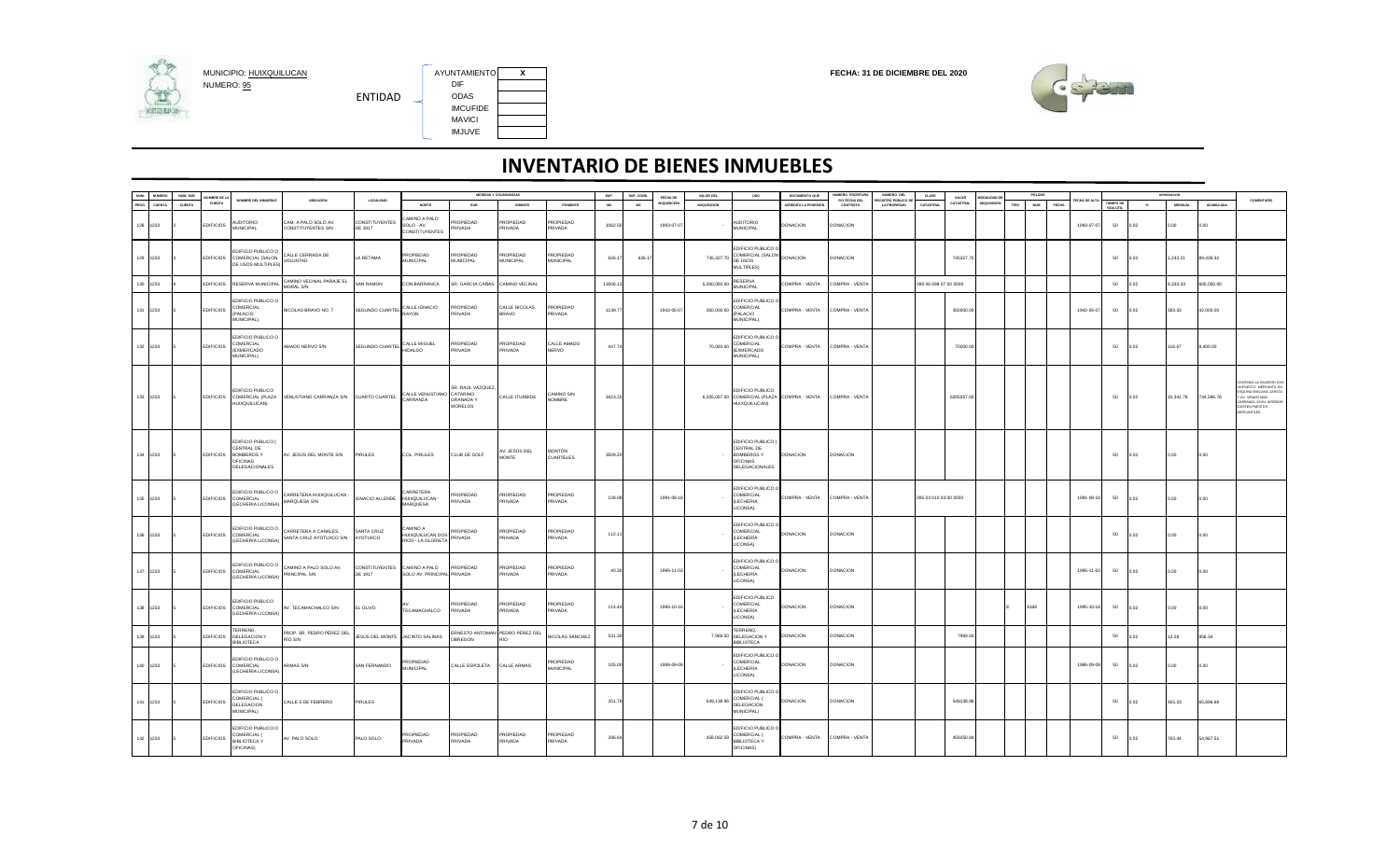

AYUNTAMIENTO X<br>DIF IMCUFIDE MAVICI IMJUVE



| NUM.     | <b>NUMERO</b> | NUM. SUB | OMBRE DE LA      |                                                                                        |                                                 |                              |                                                       |                                                         | MEDIDAS Y COLINDANCIAS          |                               | SUP.     | SUP. CONS. | FECHA DE   | VALOR DEL    | uso                                                                                               | DOCUMENTO QUE        | NUMERO ESCRITURA          | NUMERO DEL                               | <b>CLAVE</b>          | VALOR     | MODALIDAD DE       |      | PÓLIZAS             |            |            |                  |       | DEPRESACION    |            |                                                                                                                                                                      |
|----------|---------------|----------|------------------|----------------------------------------------------------------------------------------|-------------------------------------------------|------------------------------|-------------------------------------------------------|---------------------------------------------------------|---------------------------------|-------------------------------|----------|------------|------------|--------------|---------------------------------------------------------------------------------------------------|----------------------|---------------------------|------------------------------------------|-----------------------|-----------|--------------------|------|---------------------|------------|------------|------------------|-------|----------------|------------|----------------------------------------------------------------------------------------------------------------------------------------------------------------------|
| PROG.    | CUENTA        | CUENTA   | CUENTA           | NOMBRE DEL INMUEBLE                                                                    | UBICACIÓN                                       | <b>LOCALIDAD</b>             | NORTE                                                 | SUR                                                     | ORIENTE                         | PONENTE                       | M2       | M2         | DQUISICIÓ  | ADQUISICIÓN  |                                                                                                   | ACREDITA LA POSESIÓN | Y/O FECHA DEL<br>CONTRATO | EGISTRO PÚBLICO D<br><b>LA PROPIEDAD</b> | CATASTRAL             | CATASTRAL | <b>ADQUISICIÓN</b> | TIPO | <b>NUM</b><br>FECHA | CHA DE AL  |            | <b>TIEMPO DI</b> | $-96$ | <b>MENSUAL</b> | ACUMULADA  | <b>COMENTARIO</b>                                                                                                                                                    |
| 128 1233 |               |          | <b>EDIFICIOS</b> | <b>AUDITORIO</b><br><b>MUNICIPAL</b>                                                   | CAM. A PALO SOLO AV.<br>CONSTITUYENTES S/N      | CONSTITUYENTES<br>DE 1917    | AMINO A PALO<br>$SOLO - AV.$<br><b>CONSTITUYENTES</b> | ROPIEDAD<br>PRIVADA                                     | PROPIEDAD<br>PRIVADA            | <b>ROPIEDAD</b><br>PRIVADA    | 1062.50  |            | 1993-07-07 |              | <b>AUDITORIO</b><br>MUNICIPAL                                                                     | DONACION             | <b>DONACION</b>           |                                          |                       |           |                    |      |                     |            | 1993-07-07 | 50               | 0.02  | 0.00           | 0.00       |                                                                                                                                                                      |
| 129 1233 |               |          |                  | EDIFICIO PUBLICO O<br>EDIFICIOS COMERCIAL (SALON<br>DE USOS MULTIPLES)                 | CALLE CERRADA DE<br>VOLUNTAD                    | A RETAMA                     | PROPIEDAD<br><b>MUNICIPAL</b>                         | PROPIEDAD<br>MUNICIPAL                                  | PROPIEDAD<br><b>MUNICIPAL</b>   | PROPIEDAD<br><b>MUNICIPAL</b> | 626.17   | 626.1      |            | 745,327.70   | EDIFICIO PUBLICO O<br>COMERCIAL (SALON<br>DE USOS<br>MULTIPLES)                                   | DONACION             | <b>DONACION</b>           |                                          |                       | 745327.7  |                    |      |                     |            |            | 50               | 0.02  | 1,242.21       | 89,439.32  |                                                                                                                                                                      |
| 130 1233 |               |          | <b>EDIFICIOS</b> | RESERVA MUNICIPA                                                                       | CAMINO VECINAL PARAJE EL<br>MORAL S/N           | AN RAMON                     | CON BARRANCA                                          | SR. GARCIA CAÑAS                                        | CAMINO VECINAL                  |                               | 13006.13 |            |            | 5,000,000.00 | <b>RESERVA</b><br>MUNICIPAL                                                                       | OMPRA - VENTA        | COMPRA - VENTA            |                                          | 095 06 098 07 00 0000 |           |                    |      |                     |            |            | 50               | 0.02  | 8,333.33       | 600,000.00 |                                                                                                                                                                      |
|          | 131 1233      |          | <b>EDIFICIOS</b> | EDIFICIO PUBLICO C<br>COMERCIAL<br>(PALACIO<br>MUNICIPAL).                             | NICOLAS BRAVO NO. 7                             | SEGUNDO CUARTEL              | CALLE IGNACIO<br>RAYON                                | PROPIEDAD<br>PRIVADA                                    | CALLE NICOLAS<br><b>BRAVO</b>   | PROPIEDAD<br>PRIVADA          | 1139.77  |            | 1942-05-07 | 350,000.00   | EDIFICIO PUBLICO O<br>COMERCIAL<br>PALACIO<br>MUNICIPAL).                                         | COMPRA - VENTA       | COMPRA - VENTA            |                                          |                       | 350000.0  |                    |      |                     | 1942-05-07 |            | 50               | 0.02  | 583.33         | 42,000.00  |                                                                                                                                                                      |
| 132 1233 |               |          | <b>EDIFICIOS</b> | <b>EDIFICIO PUBLICO O</b><br>COMERCIAL<br><b>(EXMERCADO)</b><br>MUNICIPAL)             | AMADO NERVO S/N                                 | SEGUNDO CUARTEL CALLE MIGUEL |                                                       | PROPIEDAD<br>PRIVADA                                    | PROPIEDAD<br>PRIVADA            | CALLE AMADO<br><b>NERVO</b>   | 447.74   |            |            | 70,000.00    | EDIFICIO PUBLICO<br>COMERCIAL<br>(EXMERCADO<br>MUNICIPAL)                                         | COMPRA - VENTA       | COMPRA - VENTA            |                                          |                       | 70000.0   |                    |      |                     |            |            | 50               | 0.02  | 116.67         | 8,400.00   |                                                                                                                                                                      |
| 133 1233 |               |          |                  | <b>EDIFICIO PUBLICO</b><br>EDIFICIOS COMERCIAL (PLAZA<br>HUIXQUILUCAN).                | VENUSTIANO CARRANZA S/N CUARTO CUARTEL          |                              | CALLE VENUSTIANO CATARINO<br>CARRANZA                 | SR. RAÚL VAZQUEZ,<br><b>GRANADA Y</b><br><b>MORELOS</b> | CALLE ITURBIDE                  | CAMINO SIN<br><b>NOMBRE</b>   | 3423.25  |            |            |              | EDIFICIO PUBLICO<br>6,205,057.00 COMERCIAL (PLAZA COMPRA - VENTA COMPRA - VENTA<br>HUIXQUILUCAN). |                      |                           |                                          |                       | 6205057.0 |                    |      |                     |            |            | 50               | 0.02  | 10,341.76      | 744,596.78 | <b>INTINÚA LA INVASIÓN CO</b><br>IN PUESTO MERCANTIL EN<br>ESQUINA EMILIANO ZAPATA<br>AV. VENUSTIANO<br><b>RRANZA, EN EL INTERIOR</b><br>XISTEN PUESTOS<br>RCANTILES |
| 134 1233 |               |          |                  | EDIFICIO PUBLICO (<br>CENTRAL DE<br>EDIFICIOS BOMBEROS Y<br>OFICINAS<br>DELEGACIONALES | AV. JESÚS DEL MONTE S/N                         | <b>PIRULES</b>               | COL. PIRULES                                          | CLUB DE GOLF                                            | V. JESÚS DEL<br>MONTE           | <b>MONTÓN</b><br>CUARTELES    | 3509.20  |            |            |              | EDIFICIO PUBLICO (<br>CENTRAL DE<br><b>BOMBEROS Y</b><br><b>OFICINAS</b><br>DELEGACIONALES        | <b>DONACION</b>      | <b>DONACION</b>           |                                          |                       |           |                    |      |                     |            |            | 50               | 0.02  | 0.00           | 0.00       |                                                                                                                                                                      |
| 135 1233 |               |          |                  | <b>DIFICIO PUBLICO O</b><br>EDIFICIOS COMERCIAL<br>(LECHERIA LICONSA).                 | CARRETERA HUIXQUILUCAN -<br>MARQUESA S/N        | <b>IGNACIO ALLENDE</b>       | ARRETERA<br>HUIXQUILUCAN -<br>MARQUESA                | PROPIEDAD<br>PRIVADA                                    | PROPIEDAD<br>PRIVADA            | PROPIEDAD<br>PRIVADA          | 128.08   |            | 1991-08-18 |              | EDIFICIO PUBLICO<br>COMERCIAL<br>(LECHERIA<br>LICONSA).                                           | COMPRA - VENTA       | COMPRA - VENTA            |                                          | 095 04 010 03 00 0000 |           |                    |      |                     | 1991-08-18 |            | 50               | 0.02  | 0.00           | 0.00       |                                                                                                                                                                      |
| 136 1233 |               |          |                  | <b>EDIFICIO PUBLICO O</b><br>EDIFICIOS COMERCIAL<br>(LECHERÍA LICONSA                  | CARRETERA A CANALES,<br>SANTA CRUZ AYOTUXCO S/N | SANTA CRUZ<br>AYOTUXCO       | A OWIMA:<br>HUIXQUILUCAN DOS<br>RÍOS - LA GLORIETA    | PROPIEDAD<br>PRIVADA                                    | PROPIEDAD<br>PRIVADA            | PROPIEDAD<br>PRIVADA          | 112.11   |            |            |              | EDIFICIO PUBLICO O<br>COMERCIAL<br>(LECHERÍA<br>LICONSA)                                          | <b>DONACION</b>      | <b>DONACION</b>           |                                          |                       |           |                    |      |                     |            |            | 50               | 0.02  | 0.00           | 0.00       |                                                                                                                                                                      |
| 137 1233 |               |          |                  | <b>EDIFICIO PUBLICO O</b><br>EDIFICIOS COMERCIAL<br>(LECHERÍA LICONSA                  | CAMINO A PALO SOLO AV.<br>PRINCIPAL S/N         | CONSTITUYENTES<br>DE 1917    | CAMINO A PALO<br>SOLO AV. PRINCIPAL                   | PROPIEDAD<br>PRIVADA                                    | PROPIEDAD<br>PRIVADA            | PROPIEDAD<br>PRIVADA          | 40.30    |            | 1995-11-03 |              | EDIFICIO PUBLICO (<br>COMERCIAL<br>(LECHERÍA<br>LICONSA)                                          | <b>DONACION</b>      | <b>DONACION</b>           |                                          |                       |           |                    |      |                     | 1995-11-03 |            | 50               | 0.02  | 0.00           | 0.00       |                                                                                                                                                                      |
| 138 1233 |               |          |                  | EDIFICIO PUBLICO<br>EDIFICIOS COMERCIAL<br>(LECHERÍA LICONSA                           | AV. TECAMACHALCO S/N                            | EL OLIVO                     | TECAMACHALCO                                          | ROPIEDAD<br>PRIVADA                                     | PROPIEDAD<br><b>PRIVADA</b>     | PROPIEDAD<br>PRIVADA          | 114.44   |            | 1995-10-16 |              | EDIFICIO PUBLICO<br>COMERCIAL<br><b>(LECHERÍA</b><br>LICONSA)                                     | DONACION             | <b>DONACION</b>           |                                          |                       |           |                    |      | 8168                | 1995-10-16 |            | 50               | 0.02  | 0.00           | 0.00       |                                                                                                                                                                      |
| 139      | 1233          |          | <b>EDIFICIOS</b> | ERRENO,<br>DELEGACION Y<br><b>BIBLIOTECA</b>                                           | PROP. SR. PEDRO PÉREZ DEL<br>RÍO S/N            | JESÚS DEL MONTE              | <b>JACINTO SALINAS</b>                                | <b>DBREGON</b>                                          | ERNESTO ANTOMAN PEDRO PÉREZ DEL | NICOLÁS SÁNCHEZ               | 531.3    |            |            |              | <b>TERRENO</b><br>7,969.50 DELEGACION Y<br><b>BIBLIOTECA</b>                                      | <b>JONACION</b>      | DONACION                  |                                          |                       | 7969.5    |                    |      |                     |            |            | 50               | 0.02  | 3.28           | 956.34     |                                                                                                                                                                      |
| 140 1233 |               |          | <b>EDIFICIOS</b> | <b>EDIFICIO PUBLICO O</b><br>COMERCIAL<br>(LECHERÍA LICONSA)                           | ARMAS S/N                                       | SAN FERNANDO                 | PROPIEDAD<br><b>MUNICIPAL</b>                         | CALLE ESPOLETA                                          | CALLE ARMAS                     | PROPIEDAD<br><b>MUNICIPAL</b> | 105.00   |            | 1986-09-09 |              | EDIFICIO PUBLICO C<br>COMERCIAL<br>(LECHERÍA<br>LICONSA).                                         | DONACION             | <b>DONACION</b>           |                                          |                       |           |                    |      |                     |            | 1986-09-09 | 50               | 0.02  | 0.00           | 0.00       |                                                                                                                                                                      |
| 141 1233 |               |          | <b>EDIFICIOS</b> | EDIFICIO PUBLICO O<br>COMERCIAL (<br>DELEGACION<br>MUNICIPAL)                          | CALLE 5 DE FEBRERO                              | PIRULES                      |                                                       |                                                         |                                 |                               | 251.79   |            |            | 549,138.96   | EDIFICIO PUBLICO C<br>COMERCIAL (<br>DELEGACION<br>MUNICIPAL)                                     | DONACION             | <b>DONACION</b>           |                                          |                       | 549138.9  |                    |      |                     |            |            | 50               | 0.02  | 915.23         | 65,896.68  |                                                                                                                                                                      |
| 142 1233 |               |          | <b>EDIFICIOS</b> | <b>EDIFICIO PUBLICO (</b><br>COMERCIAL (<br><b>BIBLIOTECA Y</b><br>OFICINAS)           | AV. PALO SOLO                                   | PALO SOLO                    | PROPIEDAD<br>PRIVADA                                  | PROPIEDAD<br><b>RIVADA</b>                              | PROPIEDAD<br>PRIVADA            | PROPIEDAD<br>PRIVADA          | 296.64   |            |            |              | EDIFICIO PUBLICO (<br>COMERCIAL (<br>458,062.59 BIBLIOTECA Y<br>OFICINAS)                         | COMPRA - VENTA       | COMPRA - VENTA            |                                          |                       | 459250.84 |                    |      |                     |            |            | 50               | 0.02  | 763.44         | 54,967.51  |                                                                                                                                                                      |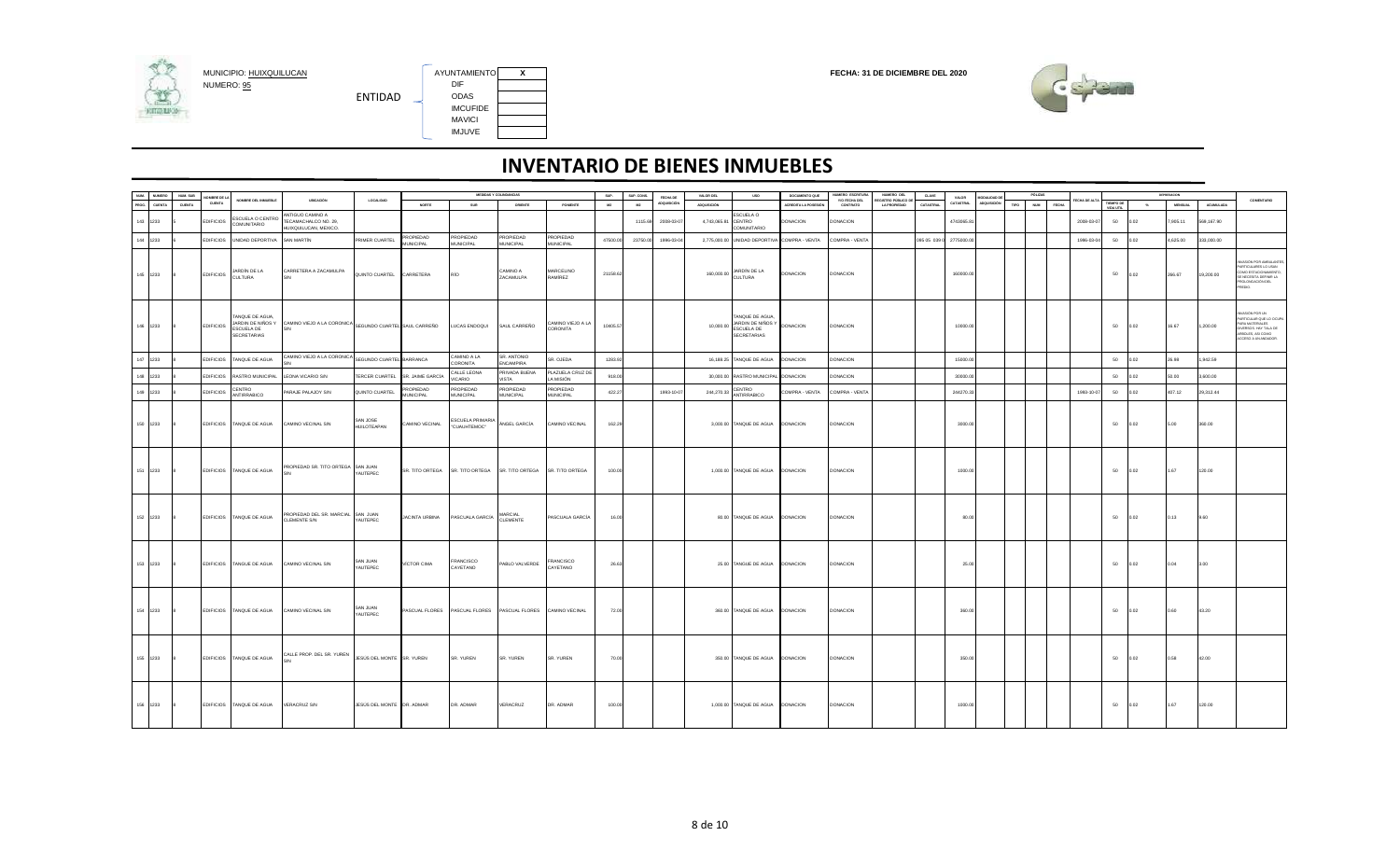

AYUNTAMIENTO X<br>DIF IMCUFIDE MAVICI IMJUVE



|       | NUM. NUMERO   | NUM. SUB |                              |                                                                          |                                                                   |                                 |                        |                                  | MEDIDAS Y COLINDANCIAS                                      |                               | sue.     | SUP. CONS. |                                       | VALOR DEL          | <b>USO</b>                                                                         | DOCUMENTO QUE        | NUMERO ESCRITURA          | NUMERO DEL                               | CLAVE                   |                    |                                          |      | PÓLIZA                     |            |                        |       | DEPRESADON     |            |                                                                                                                                         |
|-------|---------------|----------|------------------------------|--------------------------------------------------------------------------|-------------------------------------------------------------------|---------------------------------|------------------------|----------------------------------|-------------------------------------------------------------|-------------------------------|----------|------------|---------------------------------------|--------------------|------------------------------------------------------------------------------------|----------------------|---------------------------|------------------------------------------|-------------------------|--------------------|------------------------------------------|------|----------------------------|------------|------------------------|-------|----------------|------------|-----------------------------------------------------------------------------------------------------------------------------------------|
| PROG. | <b>CUENTA</b> | CUENTA   | OMBRE DE LA<br><b>CUENTA</b> | NOMBRE DEL INMUEBLE                                                      | UBICACIÓN                                                         | LOCALIDAD                       | <b>NORTE</b>           | SUR                              | ORIENTE                                                     | PONENTE                       | M2       | M2         | <b>FECHA DE</b><br><b>ADQUISICIÓN</b> | <b>ADQUISICIÓN</b> |                                                                                    | ACREDITA LA POSESIÓN | Y/O FECHA DEL<br>CONTRATO | EGISTRO PÚBLICO D<br><b>LA PROPIEDAD</b> | CATASTRAL               | VALOR<br>CATASTRAL | <b>MODALIDAD D</b><br><b>ADQUISICIÓN</b> | TIPO | <b>NUM</b><br><b>FECHA</b> |            | TIEMPO DE<br>VIDA UTIL | $-26$ | <b>MENSUAL</b> | ACUMULADA  | COMENTARIO                                                                                                                              |
|       | 143 1233      |          | <b>EDIFICIOS</b>             | <b>ESCUELA O CENTRO</b><br><b>OIRATINUMO:</b>                            | ANTIGUO CAMINO A<br>TECAMACHALCO NO. 29,<br>HUIXQUILUCAN, MEXICO. |                                 |                        |                                  |                                                             |                               |          | 1115.69    | 2008-03-0                             | 4,743,065.81       | ESCUELA O<br>CENTRO<br>COMUNITARIO                                                 | DONACION             | <b>DONACION</b>           |                                          |                         | 4743065.81         |                                          |      |                            | 2008-03-07 | 50                     | 0.02  | 7.905.11       | 569,167.90 |                                                                                                                                         |
|       | 144 1233      |          | <b>EDIFICIOS</b>             | UNIDAD DEPORTIVA                                                         | <b>SAN MARTÍN</b>                                                 | PRIMER CUARTEL                  | PROPIEDAD              | PROPIEDAD<br><b>MUNICIPAL</b>    | PROPIEDAD<br>MUNICIPAL                                      | PROPIEDAD<br><b>MUNICIPAL</b> | 47500.00 | 23750.00   | 1996-03-04                            |                    | 2,775,000.00 UNIDAD DEPORTIVA COMPRA - VENTA                                       |                      | COMPRA - VENTA            |                                          | 095 05 039 0 2775000.00 |                    |                                          |      |                            | 1996-03-04 | 50                     | 02    | ,625.00        | 333,000.00 |                                                                                                                                         |
|       |               |          |                              |                                                                          |                                                                   |                                 | <b>MUNICIPAL</b>       |                                  |                                                             |                               |          |            |                                       |                    |                                                                                    |                      |                           |                                          |                         |                    |                                          |      |                            |            |                        |       |                |            |                                                                                                                                         |
|       | 145 1233      |          | <b>EDIFICIOS</b>             | JARDÍN DE LA<br><b>CULTURA</b>                                           | CARRETERA A ZACAMULPA                                             | QUINTO CUARTEL CARRETERA        |                        | RÍO                              | CAMINO A<br>ZACAMULPA                                       | MARCELINO<br>RAMÍREZ          | 21158.62 |            |                                       |                    | 160,000.00 JARDÍN DE LA<br><b>CULTURA</b>                                          | DONACION             | <b>DONACION</b>           |                                          |                         | 160000.00          |                                          |      |                            |            | 50                     | 0.02  | 266.67         | 19,200.00  | ASIÓN POR AMBULANTE<br>PARTICULARES LO USAN<br>COMO ESTACIONAMIENTO,<br>BE NECESITA DEFINIR LA<br>OLONGACIÓN DEL<br>GEDIO.              |
|       | 146 1233      |          | <b>EDIFICIOS</b>             | TANQUE DE AGUA,<br>JARDIN DE NIÑOS Y<br>ESCUELA DE<br><b>SECRETARIAS</b> | CAMINO VIEJO A LA CORONICA SEGUNDO CUARTEL SAUL CARREÑO           |                                 |                        | LUCAS ENDOQUI                    | SAUL CARREÑO                                                | CAMINO VIEJO A LA<br>CORONITA | 10405.57 |            |                                       |                    | TANQUE DE AGUA,<br>10,000.00 JARDIN DE NIÑOS Y<br>ESCUELA DE<br><b>SECRETARIAS</b> | <b>DONACION</b>      | <b>DONACION</b>           |                                          |                         | 10000.00           |                                          |      |                            |            | 50                     | 0.02  | 16.67          | 1,200.00   | WASION POR UN<br>ARTICULAR QUE LO OCUP<br><b>RA MATERIALES</b><br>IVERSOS. HAY TALA DE<br>.<br>RBOLES, ASI COMO<br>ACCESO A UN ANDADOR. |
|       | 147 1233      |          | <b>EDIFICIOS</b>             | TANQUE DE AGUA                                                           | CAMINO VIEJO A LA CORONICA                                        | SEGUNDO CUARTEL BARRANCA        |                        | AJ A OMINO<br>CORONITA           | SR. ANTONIO<br>ENCAMPIRA                                    | SR. OJEDA                     | 1283.92  |            |                                       |                    | 16,188.25 TANQUE DE AGUA                                                           | <b>JONACION</b>      | <b>DONACION</b>           |                                          |                         | 15000.00           |                                          |      |                            |            | 50                     | 02    | 6.98           | ,942.59    |                                                                                                                                         |
|       | 148 1233      |          |                              | EDIFICIOS RASTRO MUNICIPAL                                               | LEONA VICARIO S/N                                                 | TERCER CUARTEL SR. JAIME GARCÍA |                        | CALLE LEONA<br><b>VICARIO</b>    | PRIVADA BUENA<br>VISTA                                      | PLAZUELA CRUZ DE<br>LA MISIÓN | 918.00   |            |                                       |                    | 30,000.00 RASTRO MUNICIPAL DONACION                                                |                      | DONACION                  |                                          |                         | 30000.00           |                                          |      |                            |            | 50                     | 0.02  | 50.00          | 3,600.00   |                                                                                                                                         |
|       | 149 1233      |          | <b>EDIFICIOS</b>             | CENTRO<br><b>ANTIRRABICO</b>                                             | ARAJE PALAJOY S/N                                                 | QUINTO CUARTEL                  | PROPIEDAD<br>MUNICIPAL | PROPIEDAD<br><b>MUNICIPAL</b>    | PROPIEDAD<br>MUNICIPAL                                      | PROPIEDAD<br><b>MUNICIPAL</b> | 422.27   |            | 1993-10-07                            | 244,270.33         | CENTRO<br><b>ANTIRRABICO</b>                                                       | OMPRA - VENTA        | COMPRA - VENTA            |                                          |                         | 244270.33          |                                          |      |                            | 1993-10-0  | 50                     | 02    | 07.12          | 9,312.44   |                                                                                                                                         |
|       |               |          |                              |                                                                          |                                                                   |                                 |                        |                                  |                                                             |                               |          |            |                                       |                    |                                                                                    |                      |                           |                                          |                         |                    |                                          |      |                            |            |                        |       |                |            |                                                                                                                                         |
|       | 150 1233      |          |                              | EDIFICIOS TANQUE DE AGUA                                                 | CAMINO VECINAL S/N                                                | SAN JOSE<br>HUILOTEAPAN         | AMINO VECINAL          | ESCUELA PRIMARIA<br>'CUAUHTEMOC* | ÁNGEL GARCÍA                                                | CAMINO VECINAL                | 162.29   |            |                                       |                    | 3,000.00 TANQUE DE AGUA DONACION                                                   |                      | <b>DONACION</b>           |                                          |                         | 3000.00            |                                          |      |                            |            | 50                     | 0.02  | 5.00           | 360.00     |                                                                                                                                         |
|       | 151 1233      |          |                              | EDIFICIOS TANQUE DE AGUA                                                 | PROPIEDAD SR. TITO ORTEGA SAN JUAN                                | YAUTEPEC                        | SR. TITO ORTEGA        | SR. TITO ORTEGA                  | SR. TITO ORTEGA                                             | SR. TITO ORTEGA               | 100.00   |            |                                       |                    | 1,000.00 TANQUE DE AGUA DONACION                                                   |                      | <b>DONACION</b>           |                                          |                         | 1000.00            |                                          |      |                            |            | 50                     | 0.02  | 1.67           | 120.00     |                                                                                                                                         |
|       | 152 1233      |          |                              | EDIFICIOS TANQUE DE AGUA                                                 | PROPIEDAD DEL SR. MARCIAL SAN JUAN<br>CLEMENTE S/N                | YAUTEPEC                        | JACINTA URBINA         | PASCUALA GARCÍA                  | MARCIAL<br>CLEMENTE                                         | PASCUALA GARCÍA               | 16.00    |            |                                       |                    | 80.00 TANQUE DE AGUA DONACION                                                      |                      | <b>DONACION</b>           |                                          |                         | 80.00              |                                          |      |                            |            | 50                     | 0.02  | 0.13           | 9.60       |                                                                                                                                         |
|       | 153 1233      |          |                              | EDIFICIOS TANGUE DE AGUA                                                 | CAMINO VECINAL S/N                                                | SAN JUAN<br>YAUTEPEC            | VÍCTOR CIMA            | FRANCISCO<br>CAYETANO            | PABLO VALVERDE                                              | <b>FRANCISCO</b><br>CAYETANO  | 26.63    |            |                                       |                    | 25.00 TANGUE DE AGUA DONACION                                                      |                      | <b>DONACION</b>           |                                          |                         | 25.00              |                                          |      |                            |            | 50                     | 0.02  | 0.04           | 3.00       |                                                                                                                                         |
|       | 154 1233      |          |                              | EDIFICIOS TANQUE DE AGUA                                                 | CAMINO VECINAL S/N                                                | SAN JUAN<br>YAUTEPEC            |                        |                                  | PASCUAL FLORES PASCUAL FLORES PASCUAL FLORES CAMINO VECINAL |                               | 72.00    |            |                                       |                    | 360.00 TANQUE DE AGUA DONACION                                                     |                      | <b>DONACION</b>           |                                          |                         | 360.00             |                                          |      |                            |            | 50                     | 0.02  | 0.60           | 43.20      |                                                                                                                                         |
|       | 155 1233      |          |                              | EDIFICIOS TANQUE DE AGUA                                                 | CALLE PROP. DEL SR. YUREN                                         | JESÚS DEL MONTE SR. YUREN       |                        | SR. YUREN                        | SR. YUREN                                                   | SR. YUREN                     | 70.0     |            |                                       |                    | 350.00 TANQUE DE AGUA DONACION                                                     |                      | <b>DONACION</b>           |                                          |                         | 350.00             |                                          |      |                            |            | 50                     | 0.02  | 0.58           | 42.00      |                                                                                                                                         |
|       | 156 1233      |          |                              | EDIFICIOS TANQUE DE AGUA                                                 | <b>VERACRUZ S/N</b>                                               | JESÚS DEL MONTE DR. ADMAR       |                        | DR. ADMAR                        | VERACRUZ                                                    | DR. ADMAR                     | 100.00   |            |                                       |                    | 1,000.00 TANQUE DE AGUA DONACION                                                   |                      | <b>DONACION</b>           |                                          |                         | 1000.00            |                                          |      |                            |            | 50                     | 0.02  | 1.67           | 120.00     |                                                                                                                                         |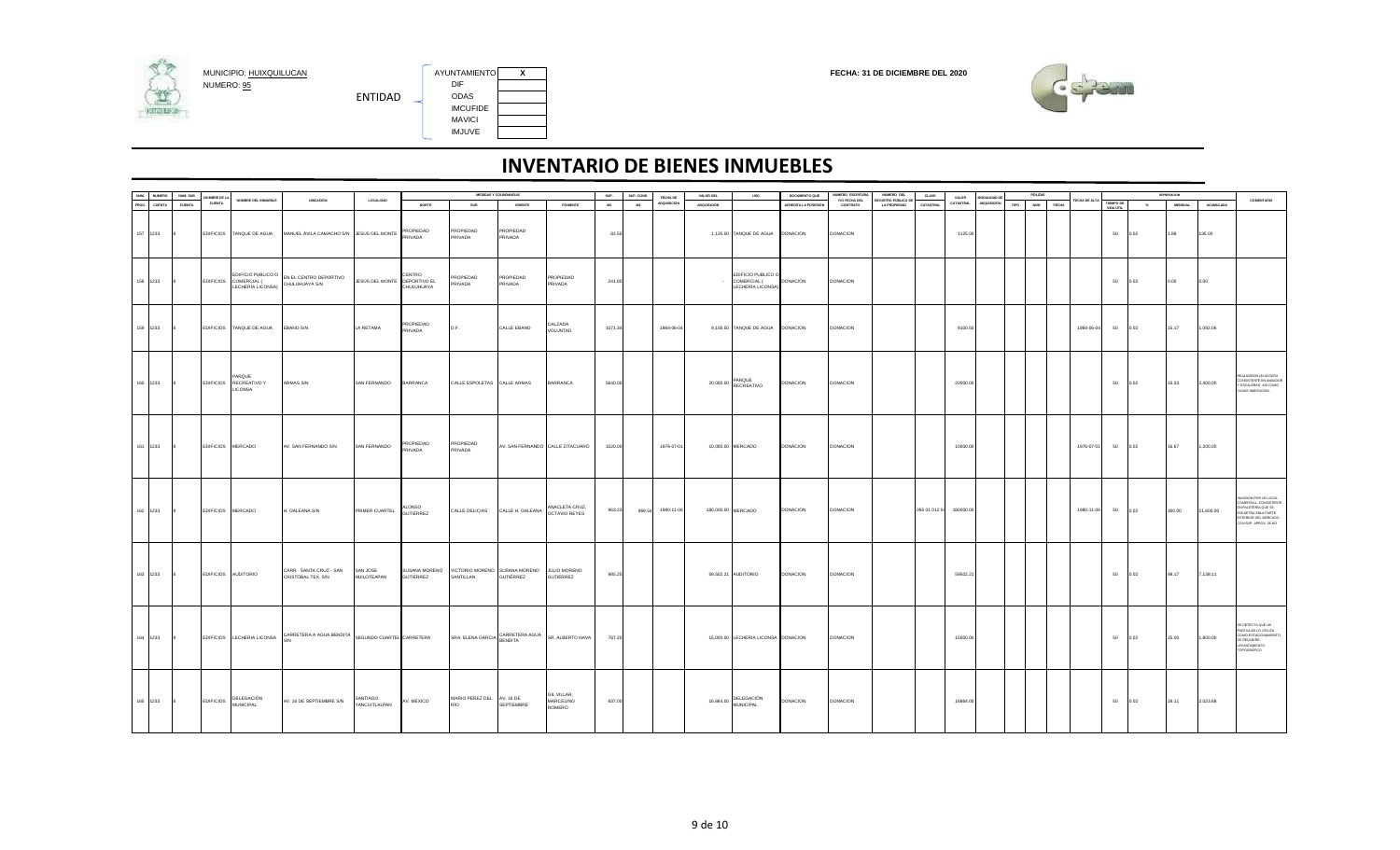

AYUNTAMIENTO X<br>DIF IMCUFIDE IMJUVE



|               | <b>NUMERO</b> | NUM. SUB     | OMBRE DE LA |                                                    |                                                                               |                                |                      |                                  | MEDIDAS Y COLINDANCIAS                                                       |                                                          | SUP.    | SUP. CONS. | FECHA DE          | VALOR DEL          | <b>USO</b>                                             | DOCUMENTO QUE        | NUMERO ESCRITURA          | NUMERO DEL                                 | CLAVE                   | VALOR     | MODALIDAD DE | PÓLIZAS        |               |                               |               | DEPRESACION    |           |                                                                                                                                                 |
|---------------|---------------|--------------|-------------|----------------------------------------------------|-------------------------------------------------------------------------------|--------------------------------|----------------------|----------------------------------|------------------------------------------------------------------------------|----------------------------------------------------------|---------|------------|-------------------|--------------------|--------------------------------------------------------|----------------------|---------------------------|--------------------------------------------|-------------------------|-----------|--------------|----------------|---------------|-------------------------------|---------------|----------------|-----------|-------------------------------------------------------------------------------------------------------------------------------------------------|
| NUM.<br>PROG. | CUENTA        | CUENTA       | CUENTA      | NOMBRE DEL INMUEBLE                                | UBICACIÓN                                                                     | <b>LOCALIDAD</b>               | <b>NORTE</b>         | SUR                              | ORIENTE                                                                      | PONENTE                                                  | M2      | M2         | ADQUISICIÓN       | <b>ADQUISICIÓN</b> |                                                        | ACREDITA LA POSESIÓN | Y/O FECHA DEL<br>CONTRATO | REGISTRO PÚBLICO DE<br><b>LA PROPIEDAD</b> | CATASTRAL               | CATASTRAL | ADQUISICIÓN  | TIPO NUM FECHA | FECHA DE ALTA | <b>TIEMPO DE</b><br>VIDA UTIL | $\sim$ $\sim$ | <b>MENSUAL</b> | ACUMULADA | COMENTARIO                                                                                                                                      |
|               | 157 1233      | 8            |             | EDIFICIOS TANQUE DE AGUA                           | MANUEL ÁVILA CAMACHO S/N<br>BEL MONTE PROPIEDAD                               |                                |                      | PROPIEDAD<br>PRIVADA             | PROPIEDAD<br>PRIVADA                                                         |                                                          | 82.50   |            |                   |                    | 1,125.00 TANQUE DE AGUA DONACION                       |                      | <b>DONACION</b>           |                                            |                         | 1125.00   |              |                |               | 50                            | 0.02          | 1.88           | 135.00    |                                                                                                                                                 |
|               | 158 1233      |              |             | EDIFICIOS COMERCIAL (<br>LECHERÍA LICONSA)         | EDIFICIO PUBLICO O EN EL CENTRO DEPORTIVO<br>CHULUHUAYA S/N                   | JESÚS DEL MONTE DEPORTIVO EL   | CENTRO<br>CHULUHUAYA | PROPIEDAD<br>PRIVADA             | PROPIEDAD<br>PRIVADA                                                         | PROPIEDAD<br>PRIVADA                                     | 241.80  |            |                   |                    | EDIFICIO PUBLICO O<br>COMERCIAL (<br>LECHERÍA LICONSA) | <b>DONACION</b>      | <b>DONACION</b>           |                                            |                         |           |              |                |               | 50                            | 0.02          | 0.00           | 0.00      |                                                                                                                                                 |
|               | 159 1233      | $\mathbf{R}$ |             | EDIFICIOS TANQUE DE AGUA                           | EBANO S/N                                                                     | LA RETAMA                      | PROPIEDAD<br>PRIVADA | D.F.                             | CALLE EBANO                                                                  | CALZADA<br>VOLUNTAD                                      | 1071.34 |            | 1984-06-04        |                    | 9,100.50 TANQUE DE AGUA DONACION                       |                      | <b>DONACION</b>           |                                            |                         | 9100.50   |              |                | 1984-06-04    | 50                            | 0.02          | 15.17          | 1,092.06  |                                                                                                                                                 |
|               | 160 1233      | 8.           |             | PARQUE<br>EDIFICIOS RECREATIVO Y<br><b>LICONSA</b> | ARMAS S/N                                                                     | SAN FERNANDO BARRANCA          |                      | CALLE ESPOLETAS CALLE ARMAS      |                                                                              | <b>BARRANCA</b>                                          | 5640.00 |            |                   |                    | 20,000.00 PARQUE<br>RECREATIVO                         | <b>DONACION</b>      | <b>DONACION</b>           |                                            |                         | 20000.00  |              |                |               | 50                            | 0.02          | 33.33          | 2,400.00  | EALIZARON UN ACCESO<br>CONSISTENTE EN ANDADOR<br>Y ESCALERAS, ASÍ COMO<br>CASAS HABITACIÓN.                                                     |
|               | 161 1233 8    |              |             | EDIFICIOS MERCADO                                  | AV. SAN FERNANDO S/N                                                          | SAN FERNANDO                   | PROPIEDAD<br>PRIVADA | PROPIEDAD<br>PRIVADA             |                                                                              | AV. SAN FERNANDO CALLE ZITACUARO                         | 1020.00 |            | 1976-07-01        |                    | 10,000.00 MERCADO                                      | <b>DONACION</b>      | <b>DONACION</b>           |                                            |                         | 10000.00  |              |                | 1976-07-01    | 50 0.02                       |               | 16.67          | 1,200.00  |                                                                                                                                                 |
|               | 162 1233 8    |              |             | EDIFICIOS MERCADO                                  | H. GALEANA S/N                                                                | PRIMER CUARTEL ALONSO          |                      |                                  | CALLE DELICIAS CALLE H. GALEANA ANACLETA CRUZ,                               |                                                          | 963.23  |            | 869.54 1980-11-06 |                    | 180,000.00 MERCADO                                     | <b>DONACION</b>      | <b>DONACION</b>           |                                            | 095 01 012 04 180000.00 |           |              |                | 1980-11-06    |                               | 50 0.02       | 300.00         | 21,600.00 | INVASION POR UN LOCAL<br>COMERCIAL, CONSISTENTE<br>EN PALETERIA QUE SE<br>ENCLIETRA ENLA PARTE<br>EXTERIOR DEL MERCADO<br>CON SUP. APROX. 36 M2 |
|               | 163 1233      | 8            |             | EDIFICIOS AUDITORIO                                | CARR. SANTA CRUZ - SAN<br>CRISTÓBAL TEX. S/N                                  | SAN JOSE<br><b>HUILOTEAPAN</b> | <b>GUTIÉRREZ</b>     | SANTILLAN                        | SUSANA MORENO VICTORIO MORENO SUSANA MORENO JULIO MORENO<br><b>GUTIÉRREZ</b> | <b>GUTIÊRREZ</b>                                         | 985.25  |            |                   |                    | 59,502.21 AUDITORIO                                    | <b>DONACION</b>      | <b>DONACION</b>           |                                            |                         | 59502.21  |              |                |               | 50                            | 0.02          | 99.17          | 7,138.11  |                                                                                                                                                 |
|               | 164 1233      |              |             |                                                    | EDIFICIOS LECHERIA LICONSA CARRETERA A AGUA BENDITA SEGUNDO CUARTEL CARRETERA |                                |                      |                                  |                                                                              | SRA. ELENA GARCIA CARRETERA AGUA SR. ALBERTO NAVA 787.20 |         |            |                   |                    | 15,000.00 LECHERIA LICONSA DONACION                    |                      | <b>DONACION</b>           |                                            |                         | 15000.00  |              |                |               |                               | 50 0.02       | 25.00          | 1,800.00  | SE DETECTA QUE UN<br>PARTIULAR LO UTILIZA<br>COMO ESTACIONAMIENTO,<br>SE REQUIERE<br>LEVANTAMIENTO<br>TOPOGRÁFICO                               |
|               |               |              |             | 165 1233 8 EDIFICIOS DELEGACIÓN                    | AV. 16 DE SEPTIEMBRE S/N                                                      | SANTIAGO<br>YANCUITLALPAN      | AV. MEXICO           | MARIO PÉREZ DEL AV. 16 DE<br>RÍO | SEPTIEMBRE                                                                   | GIL VILLAR,<br>MARCELINO<br>ROMERO                       | 837.00  |            |                   |                    | 16,864.00 DELEGACIÓN                                   | <b>DONACION</b>      | <b>DONACION</b>           |                                            |                         | 16864.00  |              |                |               | 50                            | 0.02          | 28.11          | 2,023.68  |                                                                                                                                                 |